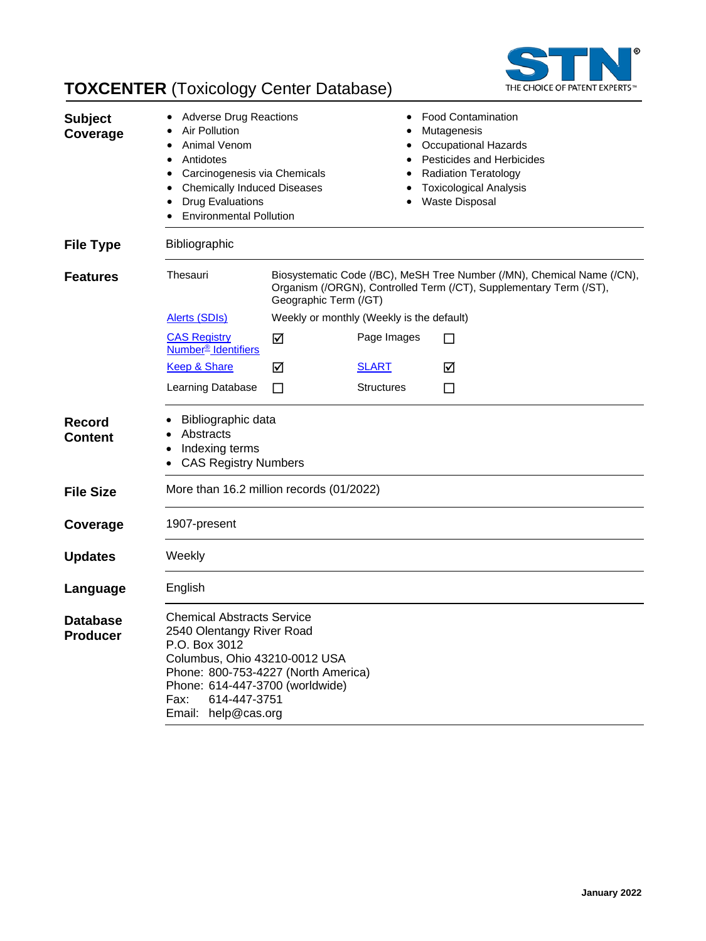

# **TOXCENTER** (Toxicology Center Database)

| <b>Subject</b><br>Coverage         | <b>Adverse Drug Reactions</b><br>Air Pollution<br>Animal Venom<br>Antidotes<br>$\bullet$<br>Carcinogenesis via Chemicals<br>٠<br><b>Chemically Induced Diseases</b><br><b>Drug Evaluations</b><br><b>Environmental Pollution</b>          |                                                                                                                                                                       | ٠<br>٠            | <b>Food Contamination</b><br>Mutagenesis<br><b>Occupational Hazards</b><br><b>Pesticides and Herbicides</b><br><b>Radiation Teratology</b><br><b>Toxicological Analysis</b><br>Waste Disposal |  |
|------------------------------------|-------------------------------------------------------------------------------------------------------------------------------------------------------------------------------------------------------------------------------------------|-----------------------------------------------------------------------------------------------------------------------------------------------------------------------|-------------------|-----------------------------------------------------------------------------------------------------------------------------------------------------------------------------------------------|--|
| <b>File Type</b>                   | Bibliographic                                                                                                                                                                                                                             |                                                                                                                                                                       |                   |                                                                                                                                                                                               |  |
| <b>Features</b>                    | Thesauri                                                                                                                                                                                                                                  | Biosystematic Code (/BC), MeSH Tree Number (/MN), Chemical Name (/CN),<br>Organism (/ORGN), Controlled Term (/CT), Supplementary Term (/ST),<br>Geographic Term (/GT) |                   |                                                                                                                                                                                               |  |
|                                    | <b>Alerts (SDIs)</b>                                                                                                                                                                                                                      | Weekly or monthly (Weekly is the default)                                                                                                                             |                   |                                                                                                                                                                                               |  |
|                                    | <b>CAS Registry</b><br>Number <sup>®</sup> Identifiers                                                                                                                                                                                    | ☑                                                                                                                                                                     | Page Images       | □                                                                                                                                                                                             |  |
|                                    | <b>Keep &amp; Share</b>                                                                                                                                                                                                                   | ☑                                                                                                                                                                     | <b>SLART</b>      | ☑                                                                                                                                                                                             |  |
|                                    | Learning Database                                                                                                                                                                                                                         | П                                                                                                                                                                     | <b>Structures</b> | П                                                                                                                                                                                             |  |
| <b>Record</b><br>Content           | Bibliographic data<br>Abstracts<br>Indexing terms<br><b>CAS Registry Numbers</b><br>$\bullet$                                                                                                                                             |                                                                                                                                                                       |                   |                                                                                                                                                                                               |  |
| <b>File Size</b>                   |                                                                                                                                                                                                                                           | More than 16.2 million records (01/2022)                                                                                                                              |                   |                                                                                                                                                                                               |  |
| Coverage                           | 1907-present                                                                                                                                                                                                                              |                                                                                                                                                                       |                   |                                                                                                                                                                                               |  |
| <b>Updates</b>                     | Weekly                                                                                                                                                                                                                                    |                                                                                                                                                                       |                   |                                                                                                                                                                                               |  |
| Language                           | English                                                                                                                                                                                                                                   |                                                                                                                                                                       |                   |                                                                                                                                                                                               |  |
| <b>Database</b><br><b>Producer</b> | <b>Chemical Abstracts Service</b><br>2540 Olentangy River Road<br>P.O. Box 3012<br>Columbus, Ohio 43210-0012 USA<br>Phone: 800-753-4227 (North America)<br>Phone: 614-447-3700 (worldwide)<br>Fax:<br>614-447-3751<br>Email: help@cas.org |                                                                                                                                                                       |                   |                                                                                                                                                                                               |  |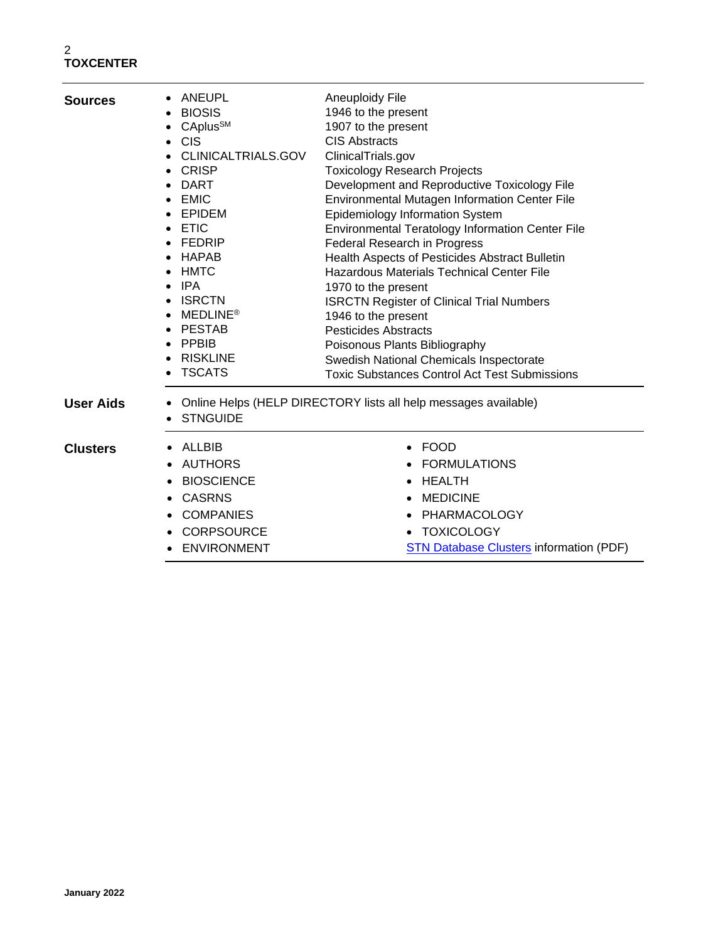| <b>Sources</b>   | ANEUPL<br><b>BIOSIS</b><br>CAplus <sup>SM</sup><br><b>CIS</b><br>$\bullet$<br>CLINICALTRIALS.GOV<br><b>CRISP</b><br><b>DART</b><br><b>EMIC</b><br>$\bullet$<br>EPIDEM<br><b>ETIC</b><br><b>FEDRIP</b><br>HAPAB<br><b>HMTC</b><br>IPA<br><b>ISRCTN</b><br><b>MEDLINE®</b><br><b>PESTAB</b><br><b>PPBIB</b><br>$\bullet$<br><b>RISKLINE</b><br><b>TSCATS</b> | <b>Aneuploidy File</b><br>1946 to the present<br>1907 to the present<br><b>CIS Abstracts</b><br>ClinicalTrials.gov<br><b>Toxicology Research Projects</b><br>Development and Reproductive Toxicology File<br>Environmental Mutagen Information Center File<br>Epidemiology Information System<br>Environmental Teratology Information Center File<br>Federal Research in Progress<br>Health Aspects of Pesticides Abstract Bulletin<br><b>Hazardous Materials Technical Center File</b><br>1970 to the present<br><b>ISRCTN Register of Clinical Trial Numbers</b><br>1946 to the present<br><b>Pesticides Abstracts</b><br>Poisonous Plants Bibliography<br>Swedish National Chemicals Inspectorate<br><b>Toxic Substances Control Act Test Submissions</b> |
|------------------|------------------------------------------------------------------------------------------------------------------------------------------------------------------------------------------------------------------------------------------------------------------------------------------------------------------------------------------------------------|--------------------------------------------------------------------------------------------------------------------------------------------------------------------------------------------------------------------------------------------------------------------------------------------------------------------------------------------------------------------------------------------------------------------------------------------------------------------------------------------------------------------------------------------------------------------------------------------------------------------------------------------------------------------------------------------------------------------------------------------------------------|
| <b>User Aids</b> | <b>STNGUIDE</b>                                                                                                                                                                                                                                                                                                                                            | Online Helps (HELP DIRECTORY lists all help messages available)                                                                                                                                                                                                                                                                                                                                                                                                                                                                                                                                                                                                                                                                                              |
| <b>Clusters</b>  | ALLBIB<br><b>AUTHORS</b><br><b>BIOSCIENCE</b><br><b>CASRNS</b><br><b>COMPANIES</b><br><b>CORPSOURCE</b><br><b>ENVIRONMENT</b>                                                                                                                                                                                                                              | <b>FOOD</b><br><b>FORMULATIONS</b><br><b>HEALTH</b><br><b>MEDICINE</b><br><b>PHARMACOLOGY</b><br><b>TOXICOLOGY</b><br><b>STN Database Clusters information (PDF)</b>                                                                                                                                                                                                                                                                                                                                                                                                                                                                                                                                                                                         |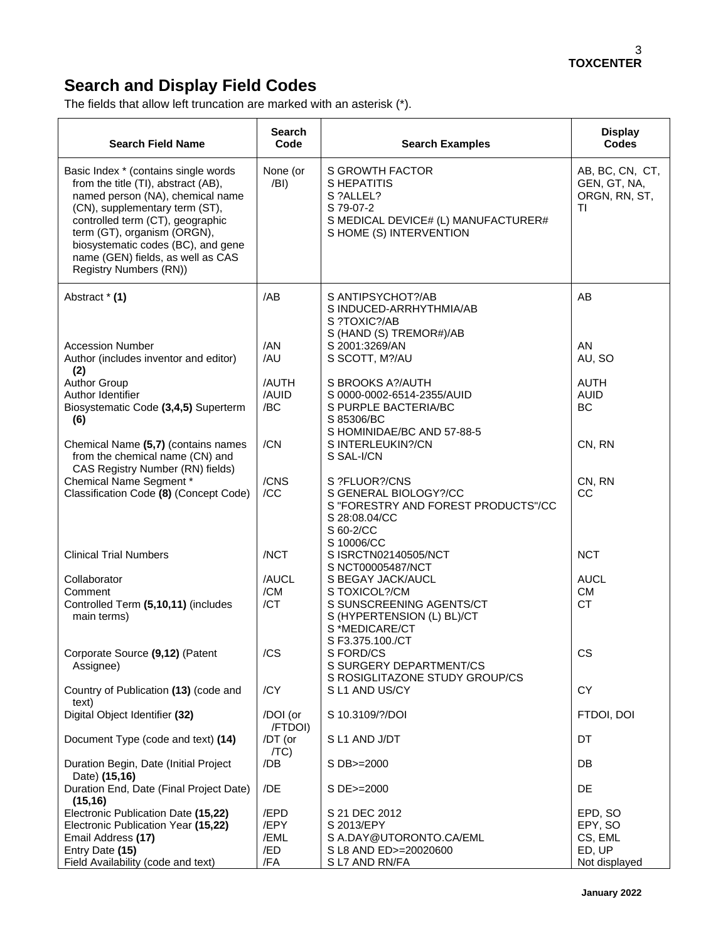# **Search and Display Field Codes**

The fields that allow left truncation are marked with an asterisk (\*).

| <b>Search Field Name</b>                                                                                                                                                                                                                                                                                                  | <b>Search</b><br>Code | <b>Search Examples</b>                                                                                                             | <b>Display</b><br><b>Codes</b>                         |
|---------------------------------------------------------------------------------------------------------------------------------------------------------------------------------------------------------------------------------------------------------------------------------------------------------------------------|-----------------------|------------------------------------------------------------------------------------------------------------------------------------|--------------------------------------------------------|
| Basic Index * (contains single words<br>from the title (TI), abstract (AB),<br>named person (NA), chemical name<br>(CN), supplementary term (ST),<br>controlled term (CT), geographic<br>term (GT), organism (ORGN),<br>biosystematic codes (BC), and gene<br>name (GEN) fields, as well as CAS<br>Registry Numbers (RN)) | None (or<br>/BI)      | <b>S GROWTH FACTOR</b><br>S HEPATITIS<br>S ?ALLEL?<br>S 79-07-2<br>S MEDICAL DEVICE# (L) MANUFACTURER#<br>S HOME (S) INTERVENTION  | AB, BC, CN, CT,<br>GEN, GT, NA,<br>ORGN, RN, ST,<br>ΤI |
| Abstract * (1)                                                                                                                                                                                                                                                                                                            | /AB                   | S ANTIPSYCHOT?/AB<br>S INDUCED-ARRHYTHMIA/AB<br>S ?TOXIC?/AB                                                                       | AB                                                     |
| <b>Accession Number</b><br>Author (includes inventor and editor)<br>(2)                                                                                                                                                                                                                                                   | /AN<br>/AU            | S (HAND (S) TREMOR#)/AB<br>S 2001:3269/AN<br>S SCOTT, M?/AU                                                                        | AN<br>AU, SO                                           |
| <b>Author Group</b><br>Author Identifier<br>Biosystematic Code (3,4,5) Superterm<br>(6)                                                                                                                                                                                                                                   | /AUTH<br>/AUID<br>/BC | S BROOKS A?/AUTH<br>S 0000-0002-6514-2355/AUID<br>S PURPLE BACTERIA/BC<br>S 85306/BC                                               | AUTH<br><b>AUID</b><br><b>BC</b>                       |
| Chemical Name (5,7) (contains names<br>from the chemical name (CN) and<br>CAS Registry Number (RN) fields)                                                                                                                                                                                                                | /CN                   | S HOMINIDAE/BC AND 57-88-5<br>S INTERLEUKIN?/CN<br>S SAL-I/CN                                                                      | CN, RN                                                 |
| Chemical Name Segment *<br>Classification Code (8) (Concept Code)                                                                                                                                                                                                                                                         | /CNS<br>/CC           | S ?FLUOR?/CNS<br>S GENERAL BIOLOGY?/CC<br>S "FORESTRY AND FOREST PRODUCTS"/CC<br>S 28:08.04/CC<br>S 60-2/CC<br>S 10006/CC          | CN, RN<br>CC                                           |
| <b>Clinical Trial Numbers</b>                                                                                                                                                                                                                                                                                             | /NCT                  | S ISRCTN02140505/NCT<br>S NCT00005487/NCT                                                                                          | <b>NCT</b>                                             |
| Collaborator<br>Comment<br>Controlled Term (5,10,11) (includes<br>main terms)                                                                                                                                                                                                                                             | /AUCL<br>/CM<br>/CT   | S BEGAY JACK/AUCL<br>S TOXICOL?/CM<br>S SUNSCREENING AGENTS/CT<br>S (HYPERTENSION (L) BL)/CT<br>S *MEDICARE/CT<br>S F3.375.100./CT | <b>AUCL</b><br>CM<br><b>CT</b>                         |
| Corporate Source (9,12) (Patent<br>Assignee)                                                                                                                                                                                                                                                                              | /CS                   | S FORD/CS<br>S SURGERY DEPARTMENT/CS<br>S ROSIGLITAZONE STUDY GROUP/CS                                                             | CS                                                     |
| Country of Publication (13) (code and<br>text)                                                                                                                                                                                                                                                                            | /CY                   | SL1 AND US/CY                                                                                                                      | <b>CY</b>                                              |
| Digital Object Identifier (32)                                                                                                                                                                                                                                                                                            | /DOI (or<br>/FTDOI)   | S 10.3109/?/DOI                                                                                                                    | FTDOI, DOI                                             |
| Document Type (code and text) (14)                                                                                                                                                                                                                                                                                        | /DT (or<br>/TC)       | SL1 AND J/DT                                                                                                                       | DT                                                     |
| Duration Begin, Date (Initial Project<br>Date) (15,16)                                                                                                                                                                                                                                                                    | /DB                   | S DB>=2000                                                                                                                         | DB                                                     |
| Duration End, Date (Final Project Date)<br>(15, 16)                                                                                                                                                                                                                                                                       | /DE                   | S DE>=2000                                                                                                                         | DE                                                     |
| Electronic Publication Date (15,22)<br>Electronic Publication Year (15,22)                                                                                                                                                                                                                                                | /EPD<br>/EPY          | S 21 DEC 2012<br>S 2013/EPY                                                                                                        | EPD, SO<br>EPY, SO                                     |
| Email Address (17)<br>Entry Date (15)<br>Field Availability (code and text)                                                                                                                                                                                                                                               | /EML<br>/ED<br>/FA    | S A.DAY@UTORONTO.CA/EML<br>S L8 AND ED>=20020600<br>SL7 AND RN/FA                                                                  | CS, EML<br>ED, UP<br>Not displayed                     |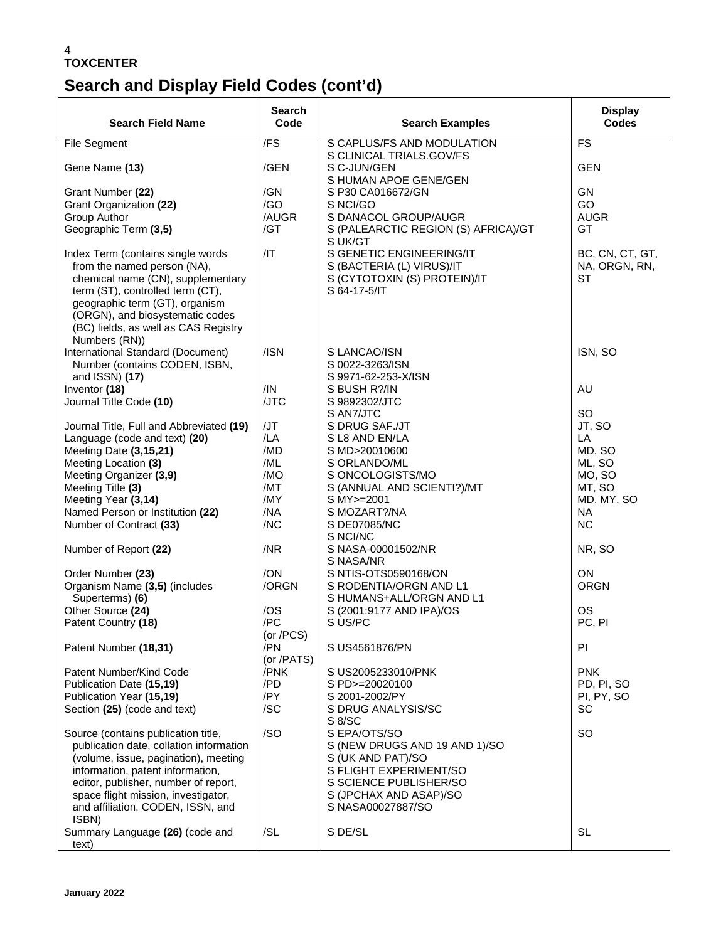# **Search and Display Field Codes (cont'd)**

| <b>Search Field Name</b>                                                                                                                                                                                                                                                                | <b>Search</b><br>Code          | <b>Search Examples</b>                                                                                                                                                | <b>Display</b><br><b>Codes</b>                |
|-----------------------------------------------------------------------------------------------------------------------------------------------------------------------------------------------------------------------------------------------------------------------------------------|--------------------------------|-----------------------------------------------------------------------------------------------------------------------------------------------------------------------|-----------------------------------------------|
| <b>File Segment</b>                                                                                                                                                                                                                                                                     | $\overline{F}$                 | S CAPLUS/FS AND MODULATION                                                                                                                                            | FS                                            |
| Gene Name (13)                                                                                                                                                                                                                                                                          | /GEN                           | S CLINICAL TRIALS.GOV/FS<br>S C-JUN/GEN<br>S HUMAN APOE GENE/GEN                                                                                                      | <b>GEN</b>                                    |
| Grant Number (22)<br>Grant Organization (22)                                                                                                                                                                                                                                            | /GN<br>/GO                     | S P30 CA016672/GN<br>S NCI/GO                                                                                                                                         | <b>GN</b><br>GO                               |
| Group Author                                                                                                                                                                                                                                                                            | /AUGR                          | S DANACOL GROUP/AUGR                                                                                                                                                  | <b>AUGR</b>                                   |
| Geographic Term (3,5)                                                                                                                                                                                                                                                                   | /GT                            | S (PALEARCTIC REGION (S) AFRICA)/GT<br>S UK/GT                                                                                                                        | GT                                            |
| Index Term (contains single words<br>from the named person (NA),<br>chemical name (CN), supplementary<br>term (ST), controlled term (CT),<br>geographic term (GT), organism<br>(ORGN), and biosystematic codes<br>(BC) fields, as well as CAS Registry<br>Numbers (RN))                 | /IT                            | S GENETIC ENGINEERING/IT<br>S (BACTERIA (L) VIRUS)/IT<br>S (CYTOTOXIN (S) PROTEIN)/IT<br>S 64-17-5/IT                                                                 | BC, CN, CT, GT,<br>NA, ORGN, RN,<br><b>ST</b> |
| International Standard (Document)<br>Number (contains CODEN, ISBN,                                                                                                                                                                                                                      | /ISN                           | S LANCAO/ISN<br>S 0022-3263/ISN                                                                                                                                       | ISN, SO                                       |
| and ISSN) (17)<br>Inventor (18)                                                                                                                                                                                                                                                         | /IN                            | S 9971-62-253-X/ISN<br>S BUSH R?/IN                                                                                                                                   | <b>AU</b>                                     |
| Journal Title Code (10)                                                                                                                                                                                                                                                                 | /JTC                           | S 9892302/JTC                                                                                                                                                         |                                               |
|                                                                                                                                                                                                                                                                                         |                                | S AN7/JTC                                                                                                                                                             | <b>SO</b>                                     |
| Journal Title, Full and Abbreviated (19)                                                                                                                                                                                                                                                | /JT                            | S DRUG SAF./JT                                                                                                                                                        | JT, SO                                        |
| Language (code and text) (20)                                                                                                                                                                                                                                                           | /LA                            | S L8 AND EN/LA                                                                                                                                                        | LA                                            |
| Meeting Date (3,15,21)                                                                                                                                                                                                                                                                  | /MD                            | S MD>20010600                                                                                                                                                         | MD, SO                                        |
| Meeting Location (3)                                                                                                                                                                                                                                                                    | /ML                            | S ORLANDO/ML                                                                                                                                                          | ML, SO                                        |
| Meeting Organizer (3,9)                                                                                                                                                                                                                                                                 | /MO                            | S ONCOLOGISTS/MO                                                                                                                                                      | MO, SO                                        |
| Meeting Title (3)                                                                                                                                                                                                                                                                       | /MT                            | S (ANNUAL AND SCIENTI?)/MT                                                                                                                                            | MT, SO                                        |
| Meeting Year (3,14)                                                                                                                                                                                                                                                                     | /MY                            | S MY>=2001                                                                                                                                                            | MD, MY, SO                                    |
| Named Person or Institution (22)                                                                                                                                                                                                                                                        | /NA                            | S MOZART?/NA                                                                                                                                                          | <b>NA</b>                                     |
| Number of Contract (33)                                                                                                                                                                                                                                                                 | /NC                            | S DE07085/NC<br>S NCI/NC                                                                                                                                              | <b>NC</b>                                     |
| Number of Report (22)                                                                                                                                                                                                                                                                   | /NR                            | S NASA-00001502/NR<br>S NASA/NR                                                                                                                                       | NR, SO                                        |
| Order Number (23)                                                                                                                                                                                                                                                                       | /ON                            | S NTIS-OTS0590168/ON                                                                                                                                                  | <b>ON</b>                                     |
| Organism Name (3,5) (includes<br>Superterms) (6)                                                                                                                                                                                                                                        | /ORGN                          | S RODENTIA/ORGN AND L1<br>S HUMANS+ALL/ORGN AND L1                                                                                                                    | <b>ORGN</b>                                   |
| Other Source (24)                                                                                                                                                                                                                                                                       | /OS                            | S (2001:9177 AND IPA)/OS                                                                                                                                              | <b>OS</b>                                     |
| Patent Country (18)                                                                                                                                                                                                                                                                     | /PC                            | S US/PC                                                                                                                                                               | PC, PI                                        |
| Patent Number (18,31)                                                                                                                                                                                                                                                                   | (or /PCS)<br>/PN<br>(or /PATS) | S US4561876/PN                                                                                                                                                        | PI                                            |
| Patent Number/Kind Code                                                                                                                                                                                                                                                                 | /PNK                           | S US2005233010/PNK                                                                                                                                                    | <b>PNK</b>                                    |
| Publication Date (15,19)                                                                                                                                                                                                                                                                | /PD                            | S PD>=20020100                                                                                                                                                        | PD, PI, SO                                    |
| Publication Year (15,19)                                                                                                                                                                                                                                                                | /PY                            | S 2001-2002/PY                                                                                                                                                        | PI, PY, SO                                    |
| Section (25) (code and text)                                                                                                                                                                                                                                                            | /SC                            | S DRUG ANALYSIS/SC<br>S 8/SC                                                                                                                                          | SC                                            |
| Source (contains publication title,<br>publication date, collation information<br>(volume, issue, pagination), meeting<br>information, patent information,<br>editor, publisher, number of report,<br>space flight mission, investigator,<br>and affiliation, CODEN, ISSN, and<br>ISBN) | /SO                            | S EPA/OTS/SO<br>S (NEW DRUGS AND 19 AND 1)/SO<br>S (UK AND PAT)/SO<br>S FLIGHT EXPERIMENT/SO<br>S SCIENCE PUBLISHER/SO<br>S (JPCHAX AND ASAP)/SO<br>S NASA00027887/SO | <b>SO</b>                                     |
| Summary Language (26) (code and<br>text)                                                                                                                                                                                                                                                | /SL                            | S DE/SL                                                                                                                                                               | <b>SL</b>                                     |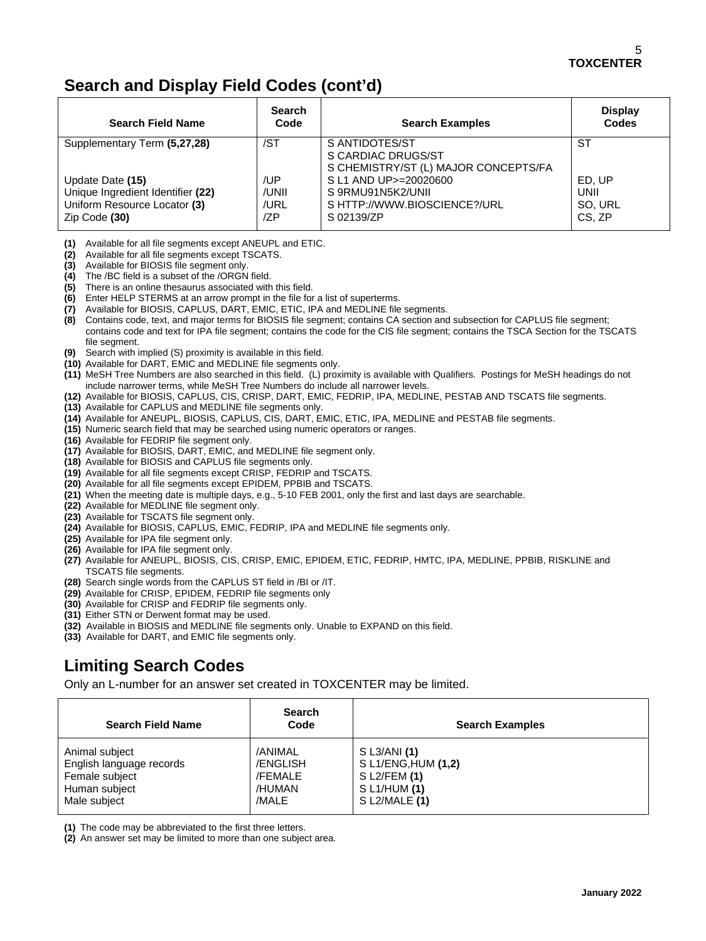## **Search and Display Field Codes (cont'd)**

| <b>Search Field Name</b>                                                                               | <b>Search</b><br>Code       | <b>Search Examples</b>                                                                   | <b>Display</b><br><b>Codes</b>      |
|--------------------------------------------------------------------------------------------------------|-----------------------------|------------------------------------------------------------------------------------------|-------------------------------------|
| Supplementary Term (5,27,28)                                                                           | /ST                         | S ANTIDOTES/ST<br>S CARDIAC DRUGS/ST<br>S CHEMISTRY/ST (L) MAJOR CONCEPTS/FA             | SТ                                  |
| Update Date (15)<br>Unique Ingredient Identifier (22)<br>Uniform Resource Locator (3)<br>Zip Code (30) | /UP<br>/UNII<br>/URL<br>/ZP | S L1 AND UP>=20020600<br>S 9RMU91N5K2/UNII<br>S HTTP://WWW.BIOSCIENCE?/URL<br>S 02139/ZP | ED. UP<br>UNII<br>SO. URL<br>CS, ZP |

- **(1)** Available for all file segments except ANEUPL and ETIC.
- **(2)** Available for all file segments except TSCATS.
- **(3)** Available for BIOSIS file segment only.
- **(4)** The /BC field is a subset of the /ORGN field.
- **(5)** There is an online thesaurus associated with this field.
- **(6)** Enter HELP STERMS at an arrow prompt in the file for a list of superterms.
- **(7)** Available for BIOSIS, CAPLUS, DART, EMIC, ETIC, IPA and MEDLINE file segments.
- **(8)** Contains code, text, and major terms for BIOSIS file segment; contains CA section and subsection for CAPLUS file segment; contains code and text for IPA file segment; contains the code for the CIS file segment; contains the TSCA Section for the TSCATS file segment.
- **(9)** Search with implied (S) proximity is available in this field.
- **(10)** Available for DART, EMIC and MEDLINE file segments only.
- **(11)** MeSH Tree Numbers are also searched in this field. (L) proximity is available with Qualifiers. Postings for MeSH headings do not include narrower terms, while MeSH Tree Numbers do include all narrower levels.
- **(12)** Available for BIOSIS, CAPLUS, CIS, CRISP, DART, EMIC, FEDRIP, IPA, MEDLINE, PESTAB AND TSCATS file segments.
- **(13)** Available for CAPLUS and MEDLINE file segments only.
- **(14)** Available for ANEUPL, BIOSIS, CAPLUS, CIS, DART, EMIC, ETIC, IPA, MEDLINE and PESTAB file segments.
- **(15)** Numeric search field that may be searched using numeric operators or ranges.
- **(16)** Available for FEDRIP file segment only.
- **(17)** Available for BIOSIS, DART, EMIC, and MEDLINE file segment only.
- **(18)** Available for BIOSIS and CAPLUS file segments only.
- **(19)** Available for all file segments except CRISP, FEDRIP and TSCATS.
- **(20)** Available for all file segments except EPIDEM, PPBIB and TSCATS.
- **(21)** When the meeting date is multiple days, e.g., 5-10 FEB 2001, only the first and last days are searchable.
- **(22)** Available for MEDLINE file segment only.
- **(23)** Available for TSCATS file segment only.
- **(24)** Available for BIOSIS, CAPLUS, EMIC, FEDRIP, IPA and MEDLINE file segments only.
- **(25)** Available for IPA file segment only.
- **(26)** Available for IPA file segment only.
- **(27)** Available for ANEUPL, BIOSIS, CIS, CRISP, EMIC, EPIDEM, ETIC, FEDRIP, HMTC, IPA, MEDLINE, PPBIB, RISKLINE and TSCATS file segments.
- **(28)** Search single words from the CAPLUS ST field in /BI or /IT.
- **(29)** Available for CRISP, EPIDEM, FEDRIP file segments only
- **(30)** Available for CRISP and FEDRIP file segments only.
- **(31)** Either STN or Derwent format may be used.
- **(32)** Available in BIOSIS and MEDLINE file segments only. Unable to EXPAND on this field.
- **(33)** Available for DART, and EMIC file segments only.

## **Limiting Search Codes**

Only an L-number for an answer set created in TOXCENTER may be limited.

| <b>Search Field Name</b> | <b>Search</b><br>Code | <b>Search Examples</b> |
|--------------------------|-----------------------|------------------------|
| Animal subject           | /ANIMAL               | $S$ L3/ANI $(1)$       |
| English language records | <b>ENGLISH</b>        | S L1/ENG, HUM (1,2)    |
| Female subject           | /FEMALE               | $S$ L2/FEM (1)         |
| Human subject            | /HUMAN                | S L1/HUM (1)           |
| Male subject             | /MALE                 | $S$ L2/MALE $(1)$      |

**(1)** The code may be abbreviated to the first three letters.

**(2)** An answer set may be limited to more than one subject area.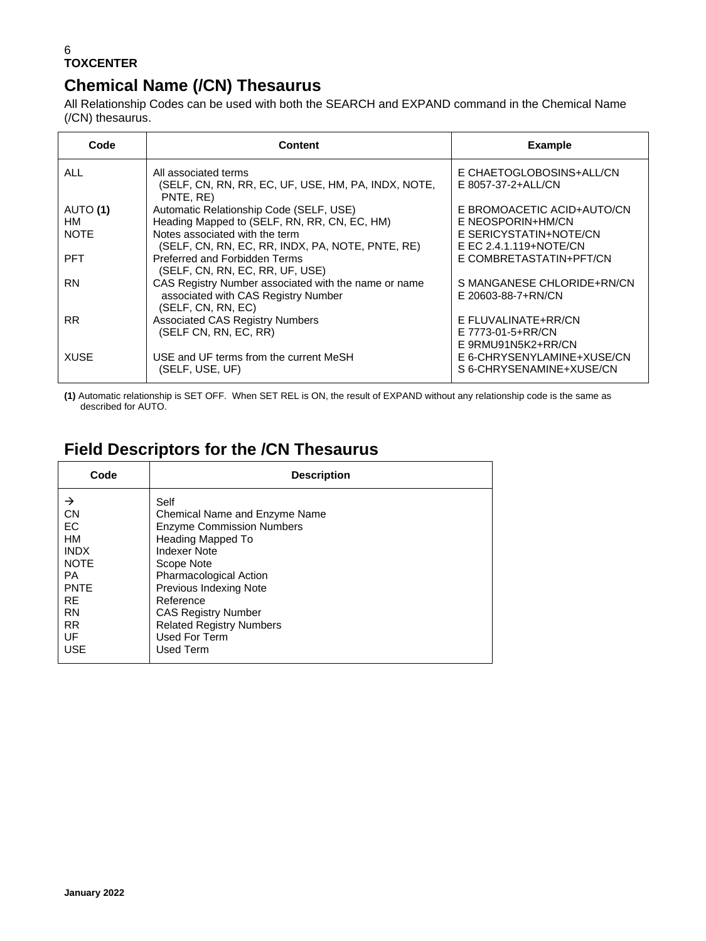## **Chemical Name (/CN) Thesaurus**

All Relationship Codes can be used with both the SEARCH and EXPAND command in the Chemical Name (/CN) thesaurus.

| Code        | <b>Content</b>                                                   | <b>Example</b>             |
|-------------|------------------------------------------------------------------|----------------------------|
| ALL         | All associated terms                                             | E CHAETOGLOBOSINS+ALL/CN   |
|             | (SELF, CN, RN, RR, EC, UF, USE, HM, PA, INDX, NOTE,<br>PNTE, RE) | E 8057-37-2+ALL/CN         |
| AUTO (1)    | Automatic Relationship Code (SELF, USE)                          | E BROMOACETIC ACID+AUTO/CN |
| HМ          | Heading Mapped to (SELF, RN, RR, CN, EC, HM)                     | E NEOSPORIN+HM/CN          |
| <b>NOTE</b> | Notes associated with the term                                   | E SERICYSTATIN+NOTE/CN     |
|             | (SELF, CN, RN, EC, RR, INDX, PA, NOTE, PNTE, RE)                 | E EC 2.4.1.119+NOTE/CN     |
| <b>PFT</b>  | Preferred and Forbidden Terms<br>(SELF, CN, RN, EC, RR, UF, USE) | E COMBRETASTATIN+PFT/CN    |
| <b>RN</b>   | CAS Registry Number associated with the name or name             | S MANGANESE CHLORIDE+RN/CN |
|             | associated with CAS Registry Number                              | E 20603-88-7+RN/CN         |
|             | (SELF, CN, RN, EC)                                               |                            |
| <b>RR</b>   | <b>Associated CAS Registry Numbers</b>                           | E FLUVALINATE+RR/CN        |
|             | (SELF CN, RN, EC, RR)                                            | E 7773-01-5+RR/CN          |
|             |                                                                  | E 9RMU91N5K2+RR/CN         |
| <b>XUSE</b> | USE and UF terms from the current MeSH                           | E 6-CHRYSENYLAMINE+XUSE/CN |
|             | (SELF, USE, UF)                                                  | S 6-CHRYSENAMINE+XUSE/CN   |

**(1)** Automatic relationship is SET OFF. When SET REL is ON, the result of EXPAND without any relationship code is the same as described for AUTO.

## **Field Descriptors for the /CN Thesaurus**

| Code        | <b>Description</b>               |
|-------------|----------------------------------|
| →           | Self                             |
| <b>CN</b>   | Chemical Name and Enzyme Name    |
| EC          | <b>Enzyme Commission Numbers</b> |
| HM          | Heading Mapped To                |
| <b>INDX</b> | <b>Indexer Note</b>              |
| <b>NOTE</b> | Scope Note                       |
| <b>PA</b>   | Pharmacological Action           |
| <b>PNTE</b> | Previous Indexing Note           |
| <b>RE</b>   | Reference                        |
| <b>RN</b>   | <b>CAS Registry Number</b>       |
| <b>RR</b>   | <b>Related Registry Numbers</b>  |
| UF          | Used For Term                    |
| <b>USE</b>  | Used Term                        |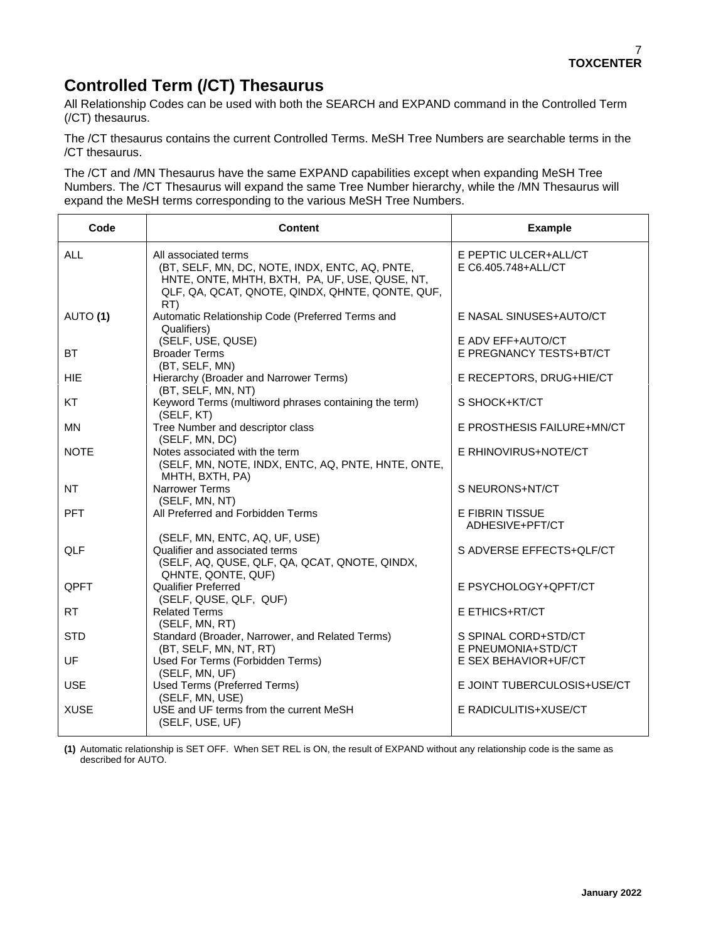## **Controlled Term (/CT) Thesaurus**

All Relationship Codes can be used with both the SEARCH and EXPAND command in the Controlled Term (/CT) thesaurus.

The /CT thesaurus contains the current Controlled Terms. MeSH Tree Numbers are searchable terms in the /CT thesaurus.

The /CT and /MN Thesaurus have the same EXPAND capabilities except when expanding MeSH Tree Numbers. The /CT Thesaurus will expand the same Tree Number hierarchy, while the /MN Thesaurus will expand the MeSH terms corresponding to the various MeSH Tree Numbers.

| Code        | <b>Content</b>                                                                                                                                                                     | <b>Example</b>                               |
|-------------|------------------------------------------------------------------------------------------------------------------------------------------------------------------------------------|----------------------------------------------|
| <b>ALL</b>  | All associated terms<br>(BT, SELF, MN, DC, NOTE, INDX, ENTC, AQ, PNTE,<br>HNTE, ONTE, MHTH, BXTH, PA, UF, USE, QUSE, NT,<br>QLF, QA, QCAT, QNOTE, QINDX, QHNTE, QONTE, QUF,<br>RT) | E PEPTIC ULCER+ALL/CT<br>E C6.405.748+ALL/CT |
| AUTO (1)    | Automatic Relationship Code (Preferred Terms and<br>Qualifiers)                                                                                                                    | E NASAL SINUSES+AUTO/CT                      |
| <b>BT</b>   | (SELF, USE, QUSE)<br><b>Broader Terms</b><br>(BT, SELF, MN)                                                                                                                        | E ADV EFF+AUTO/CT<br>E PREGNANCY TESTS+BT/CT |
| <b>HIE</b>  | Hierarchy (Broader and Narrower Terms)<br>(BT, SELF, MN, NT)                                                                                                                       | E RECEPTORS, DRUG+HIE/CT                     |
| KT          | Keyword Terms (multiword phrases containing the term)<br>(SELF, KT)                                                                                                                | S SHOCK+KT/CT                                |
| <b>MN</b>   | Tree Number and descriptor class<br>(SELF, MN, DC)                                                                                                                                 | E PROSTHESIS FAILURE+MN/CT                   |
| <b>NOTE</b> | Notes associated with the term<br>(SELF, MN, NOTE, INDX, ENTC, AQ, PNTE, HNTE, ONTE,<br>MHTH, BXTH, PA)                                                                            | E RHINOVIRUS+NOTE/CT                         |
| <b>NT</b>   | <b>Narrower Terms</b><br>(SELF, MN, NT)                                                                                                                                            | S NEURONS+NT/CT                              |
| <b>PFT</b>  | All Preferred and Forbidden Terms                                                                                                                                                  | E FIBRIN TISSUE<br>ADHESIVE+PFT/CT           |
| QLF         | (SELF, MN, ENTC, AQ, UF, USE)<br>Qualifier and associated terms<br>(SELF, AQ, QUSE, QLF, QA, QCAT, QNOTE, QINDX,<br>QHNTE, QONTE, QUF)                                             | S ADVERSE EFFECTS+QLF/CT                     |
| <b>QPFT</b> | <b>Qualifier Preferred</b><br>(SELF, QUSE, QLF, QUF)                                                                                                                               | E PSYCHOLOGY+QPFT/CT                         |
| <b>RT</b>   | <b>Related Terms</b><br>(SELF, MN, RT)                                                                                                                                             | E ETHICS+RT/CT                               |
| <b>STD</b>  | Standard (Broader, Narrower, and Related Terms)<br>(BT, SELF, MN, NT, RT)                                                                                                          | S SPINAL CORD+STD/CT<br>E PNEUMONIA+STD/CT   |
| UF          | Used For Terms (Forbidden Terms)<br>(SELF, MN, UF)                                                                                                                                 | E SEX BEHAVIOR+UF/CT                         |
| <b>USE</b>  | Used Terms (Preferred Terms)<br>(SELF, MN, USE)                                                                                                                                    | E JOINT TUBERCULOSIS+USE/CT                  |
| <b>XUSE</b> | USE and UF terms from the current MeSH<br>(SELF, USE, UF)                                                                                                                          | E RADICULITIS+XUSE/CT                        |

**(1)** Automatic relationship is SET OFF. When SET REL is ON, the result of EXPAND without any relationship code is the same as described for AUTO.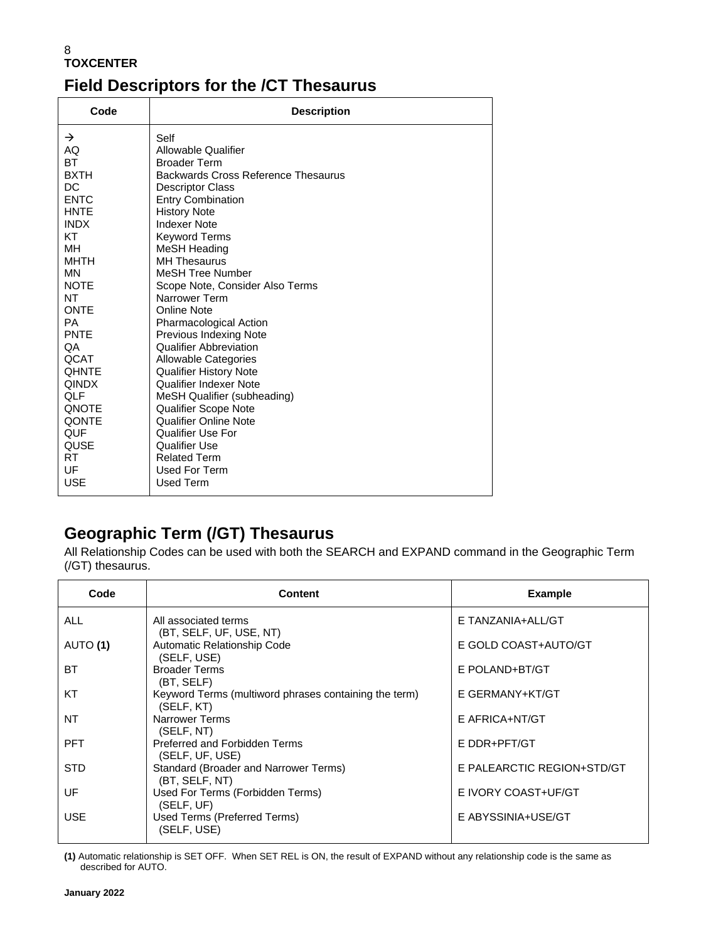## **Field Descriptors for the /CT Thesaurus**

| Code                                                                                                                                                                                                                                                                                                                                             | <b>Description</b>                                                                                                                                                                                                                                                                                                                                                                                                                                                                                                                                                                                                                                                                                                                                 |
|--------------------------------------------------------------------------------------------------------------------------------------------------------------------------------------------------------------------------------------------------------------------------------------------------------------------------------------------------|----------------------------------------------------------------------------------------------------------------------------------------------------------------------------------------------------------------------------------------------------------------------------------------------------------------------------------------------------------------------------------------------------------------------------------------------------------------------------------------------------------------------------------------------------------------------------------------------------------------------------------------------------------------------------------------------------------------------------------------------------|
| $\rightarrow$<br>AQ<br><b>BT</b><br><b>BXTH</b><br><b>DC</b><br><b>ENTC</b><br><b>HNTE</b><br><b>INDX</b><br><b>KT</b><br><b>MH</b><br><b>MHTH</b><br><b>MN</b><br><b>NOTE</b><br>NT<br><b>ONTE</b><br><b>PA</b><br>PNTE<br>QA<br>QCAT<br><b>OHNTE</b><br><b>QINDX</b><br>QLF<br><b>ONOTE</b><br><b>QONTE</b><br><b>QUF</b><br>QUSE<br>RT.<br>UF | Self<br><b>Allowable Qualifier</b><br><b>Broader Term</b><br>Backwards Cross Reference Thesaurus<br><b>Descriptor Class</b><br><b>Entry Combination</b><br><b>History Note</b><br><b>Indexer Note</b><br>Keyword Terms<br><b>MeSH Heading</b><br><b>MH Thesaurus</b><br><b>MeSH Tree Number</b><br>Scope Note, Consider Also Terms<br>Narrower Term<br><b>Online Note</b><br><b>Pharmacological Action</b><br><b>Previous Indexing Note</b><br><b>Qualifier Abbreviation</b><br><b>Allowable Categories</b><br><b>Qualifier History Note</b><br>Qualifier Indexer Note<br>MeSH Qualifier (subheading)<br><b>Qualifier Scope Note</b><br><b>Qualifier Online Note</b><br>Qualifier Use For<br>Qualifier Use<br><b>Related Term</b><br>Used For Term |
| <b>USE</b>                                                                                                                                                                                                                                                                                                                                       | Used Term                                                                                                                                                                                                                                                                                                                                                                                                                                                                                                                                                                                                                                                                                                                                          |

## **Geographic Term (/GT) Thesaurus**

All Relationship Codes can be used with both the SEARCH and EXPAND command in the Geographic Term (/GT) thesaurus.

| Code       | <b>Content</b>                                                      | <b>Example</b>             |
|------------|---------------------------------------------------------------------|----------------------------|
| <b>ALL</b> | All associated terms<br>(BT, SELF, UF, USE, NT)                     | E TANZANIA+ALL/GT          |
| AUTO (1)   | Automatic Relationship Code<br>(SELF, USE)                          | E GOLD COAST+AUTO/GT       |
| BT         | <b>Broader Terms</b><br>(BT, SELF)                                  | E POLAND+BT/GT             |
| KT         | Keyword Terms (multiword phrases containing the term)<br>(SELF, KT) | E GERMANY+KT/GT            |
| NT         | Narrower Terms<br>(SELF, NT)                                        | E AFRICA+NT/GT             |
| <b>PFT</b> | Preferred and Forbidden Terms<br>(SELF, UF, USE)                    | E DDR+PFT/GT               |
| <b>STD</b> | Standard (Broader and Narrower Terms)<br>(BT, SELF, NT)             | E PALEARCTIC REGION+STD/GT |
| UF         | Used For Terms (Forbidden Terms)<br>(SELF, UF)                      | E IVORY COAST+UF/GT        |
| <b>USE</b> | Used Terms (Preferred Terms)<br>(SELF, USE)                         | E ABYSSINIA+USE/GT         |

**(1)** Automatic relationship is SET OFF. When SET REL is ON, the result of EXPAND without any relationship code is the same as described for AUTO.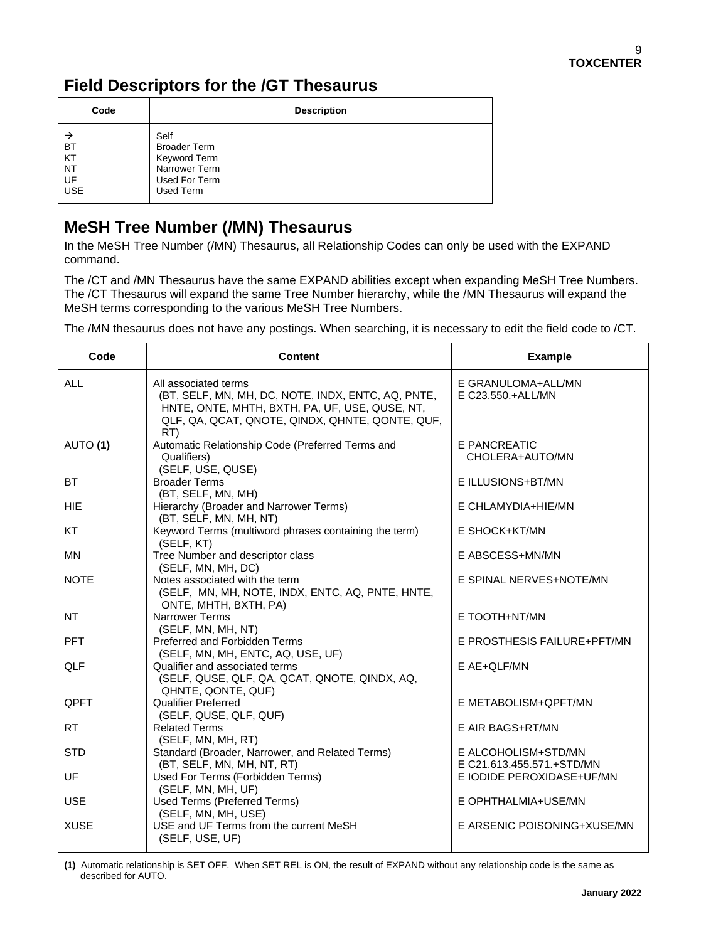## **Field Descriptors for the /GT Thesaurus**

| Code                                             | <b>Description</b>                                                                         |
|--------------------------------------------------|--------------------------------------------------------------------------------------------|
| <b>BT</b><br>KT<br><b>NT</b><br>UF<br><b>USE</b> | Self<br><b>Broader Term</b><br>Keyword Term<br>Narrower Term<br>Used For Term<br>Used Term |

### **MeSH Tree Number (/MN) Thesaurus**

In the MeSH Tree Number (/MN) Thesaurus, all Relationship Codes can only be used with the EXPAND command.

The /CT and /MN Thesaurus have the same EXPAND abilities except when expanding MeSH Tree Numbers. The /CT Thesaurus will expand the same Tree Number hierarchy, while the /MN Thesaurus will expand the MeSH terms corresponding to the various MeSH Tree Numbers.

The /MN thesaurus does not have any postings. When searching, it is necessary to edit the field code to /CT.

| Code        | <b>Content</b>                                                                                                                                                                         | <b>Example</b>                                   |
|-------------|----------------------------------------------------------------------------------------------------------------------------------------------------------------------------------------|--------------------------------------------------|
| <b>ALL</b>  | All associated terms<br>(BT, SELF, MN, MH, DC, NOTE, INDX, ENTC, AQ, PNTE,<br>HNTE, ONTE, MHTH, BXTH, PA, UF, USE, QUSE, NT,<br>QLF, QA, QCAT, QNOTE, QINDX, QHNTE, QONTE, QUF,<br>RT) | E GRANULOMA+ALL/MN<br>E C23.550.+ALL/MN          |
| AUTO (1)    | Automatic Relationship Code (Preferred Terms and<br>Qualifiers)<br>(SELF, USE, QUSE)                                                                                                   | E PANCREATIC<br>CHOLERA+AUTO/MN                  |
| <b>BT</b>   | <b>Broader Terms</b><br>(BT, SELF, MN, MH)                                                                                                                                             | E ILLUSIONS+BT/MN                                |
| <b>HIE</b>  | Hierarchy (Broader and Narrower Terms)<br>(BT, SELF, MN, MH, NT)                                                                                                                       | E CHLAMYDIA+HIE/MN                               |
| <b>KT</b>   | Keyword Terms (multiword phrases containing the term)<br>(SELF, KT)                                                                                                                    | E SHOCK+KT/MN                                    |
| MN          | Tree Number and descriptor class<br>(SELF, MN, MH, DC)                                                                                                                                 | E ABSCESS+MN/MN                                  |
| <b>NOTE</b> | Notes associated with the term<br>(SELF, MN, MH, NOTE, INDX, ENTC, AQ, PNTE, HNTE,<br>ONTE, MHTH, BXTH, PA)                                                                            | E SPINAL NERVES+NOTE/MN                          |
| NT          | <b>Narrower Terms</b><br>(SELF, MN, MH, NT)                                                                                                                                            | E TOOTH+NT/MN                                    |
| <b>PFT</b>  | Preferred and Forbidden Terms<br>(SELF, MN, MH, ENTC, AQ, USE, UF)                                                                                                                     | E PROSTHESIS FAILURE+PFT/MN                      |
| <b>QLF</b>  | Qualifier and associated terms<br>(SELF, QUSE, QLF, QA, QCAT, QNOTE, QINDX, AQ,<br>QHNTE, QONTE, QUF)                                                                                  | E AE+QLF/MN                                      |
| QPFT        | <b>Qualifier Preferred</b><br>(SELF, QUSE, QLF, QUF)                                                                                                                                   | E METABOLISM+QPFT/MN                             |
| <b>RT</b>   | <b>Related Terms</b><br>(SELF, MN, MH, RT)                                                                                                                                             | E AIR BAGS+RT/MN                                 |
| <b>STD</b>  | Standard (Broader, Narrower, and Related Terms)<br>(BT, SELF, MN, MH, NT, RT)                                                                                                          | E ALCOHOLISM+STD/MN<br>E C21.613.455.571.+STD/MN |
| UF          | Used For Terms (Forbidden Terms)<br>(SELF, MN, MH, UF)                                                                                                                                 | E IODIDE PEROXIDASE+UF/MN                        |
| <b>USE</b>  | <b>Used Terms (Preferred Terms)</b><br>(SELF, MN, MH, USE)                                                                                                                             | E OPHTHALMIA+USE/MN                              |
| <b>XUSE</b> | USE and UF Terms from the current MeSH<br>(SELF, USE, UF)                                                                                                                              | E ARSENIC POISONING+XUSE/MN                      |

**(1)** Automatic relationship is SET OFF. When SET REL is ON, the result of EXPAND without any relationship code is the same as described for AUTO.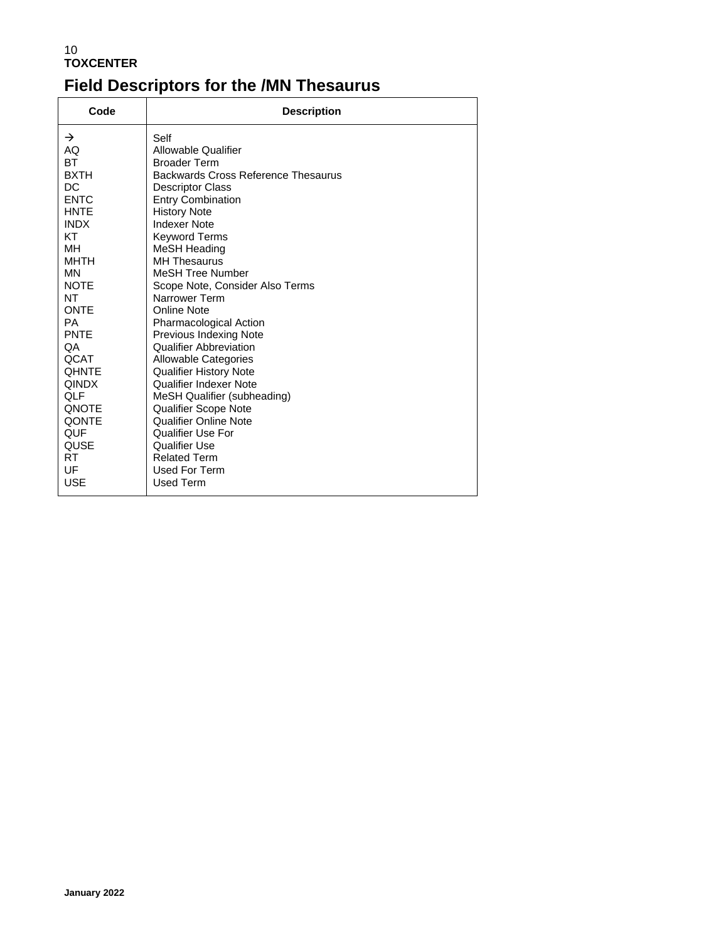### 10 **TOXCENTER Field Descriptors for the /MN Thesaurus**

| Code                                                                                                                                                                                                                                                                                                                               | <b>Description</b>                                                                                                                                                                                                                                                                                                                                                                                                                                                                                                                                                                                                                                                                                              |
|------------------------------------------------------------------------------------------------------------------------------------------------------------------------------------------------------------------------------------------------------------------------------------------------------------------------------------|-----------------------------------------------------------------------------------------------------------------------------------------------------------------------------------------------------------------------------------------------------------------------------------------------------------------------------------------------------------------------------------------------------------------------------------------------------------------------------------------------------------------------------------------------------------------------------------------------------------------------------------------------------------------------------------------------------------------|
| $\rightarrow$<br>AQ<br><b>BT</b><br><b>BXTH</b><br><b>DC</b><br><b>ENTC</b><br><b>HNTE</b><br><b>INDX</b><br><b>KT</b><br><b>MH</b><br>MHTH<br><b>MN</b><br><b>NOTE</b><br><b>NT</b><br><b>ONTE</b><br><b>PA</b><br>PNTE<br>QA<br>QCAT<br><b>OHNTE</b><br><b>QINDX</b><br>QLF<br><b>ONOTE</b><br>QONTE<br>QUF<br>QUSE<br>RT.<br>UF | Self<br><b>Allowable Qualifier</b><br><b>Broader Term</b><br>Backwards Cross Reference Thesaurus<br><b>Descriptor Class</b><br><b>Entry Combination</b><br><b>History Note</b><br><b>Indexer Note</b><br>Keyword Terms<br>MeSH Heading<br><b>MH Thesaurus</b><br><b>MeSH Tree Number</b><br>Scope Note, Consider Also Terms<br>Narrower Term<br>Online Note<br><b>Pharmacological Action</b><br>Previous Indexing Note<br><b>Qualifier Abbreviation</b><br>Allowable Categories<br><b>Qualifier History Note</b><br>Qualifier Indexer Note<br>MeSH Qualifier (subheading)<br><b>Qualifier Scope Note</b><br>Qualifier Online Note<br>Qualifier Use For<br>Qualifier Use<br><b>Related Term</b><br>Used For Term |
| <b>USE</b>                                                                                                                                                                                                                                                                                                                         | Used Term                                                                                                                                                                                                                                                                                                                                                                                                                                                                                                                                                                                                                                                                                                       |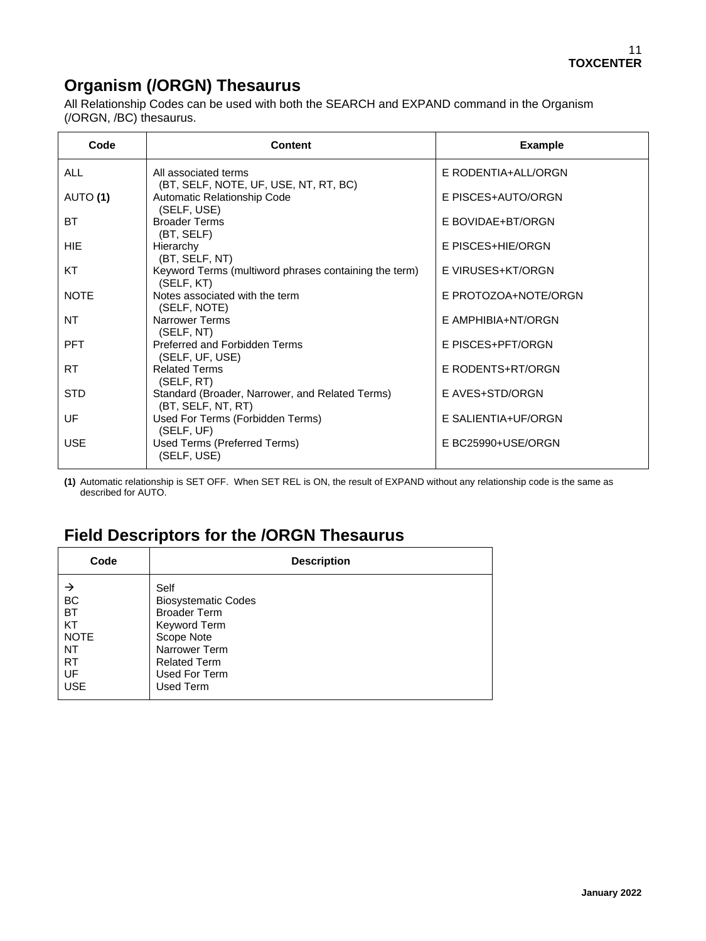## **Organism (/ORGN) Thesaurus**

All Relationship Codes can be used with both the SEARCH and EXPAND command in the Organism (/ORGN, /BC) thesaurus.

| Code        | <b>Content</b>                                                        | <b>Example</b>       |
|-------------|-----------------------------------------------------------------------|----------------------|
| <b>ALL</b>  | All associated terms<br>(BT, SELF, NOTE, UF, USE, NT, RT, BC)         | E RODENTIA+ALL/ORGN  |
| AUTO (1)    | Automatic Relationship Code<br>(SELF, USE)                            | E PISCES+AUTO/ORGN   |
| BT          | <b>Broader Terms</b><br>(BT, SELF)                                    | E BOVIDAE+BT/ORGN    |
| HIE.        | Hierarchy<br>(BT, SELF, NT)                                           | E PISCES+HIE/ORGN    |
| KT          | Keyword Terms (multiword phrases containing the term)<br>(SELF, KT)   | E VIRUSES+KT/ORGN    |
| <b>NOTE</b> | Notes associated with the term<br>(SELF, NOTE)                        | E PROTOZOA+NOTE/ORGN |
| NT          | <b>Narrower Terms</b><br>(SELF, NT)                                   | E AMPHIBIA+NT/ORGN   |
| <b>PFT</b>  | Preferred and Forbidden Terms<br>(SELF, UF, USE)                      | E PISCES+PFT/ORGN    |
| <b>RT</b>   | <b>Related Terms</b><br>(SELF, RT)                                    | E RODENTS+RT/ORGN    |
| <b>STD</b>  | Standard (Broader, Narrower, and Related Terms)<br>(BT, SELF, NT, RT) | E AVES+STD/ORGN      |
| UF          | Used For Terms (Forbidden Terms)<br>(SELF, UF)                        | E SALIENTIA+UF/ORGN  |
| <b>USE</b>  | Used Terms (Preferred Terms)<br>(SELF, USE)                           | E BC25990+USE/ORGN   |

**(1)** Automatic relationship is SET OFF. When SET REL is ON, the result of EXPAND without any relationship code is the same as described for AUTO.

### **Field Descriptors for the /ORGN Thesaurus**

| Code                                                                             | <b>Description</b>                                                                                                                               |
|----------------------------------------------------------------------------------|--------------------------------------------------------------------------------------------------------------------------------------------------|
| →<br><b>BC</b><br><b>BT</b><br>KT<br><b>NOTE</b><br><b>NT</b><br><b>RT</b><br>UF | Self<br><b>Biosystematic Codes</b><br><b>Broader Term</b><br>Keyword Term<br>Scope Note<br>Narrower Term<br><b>Related Term</b><br>Used For Term |
| <b>USE</b>                                                                       | Used Term                                                                                                                                        |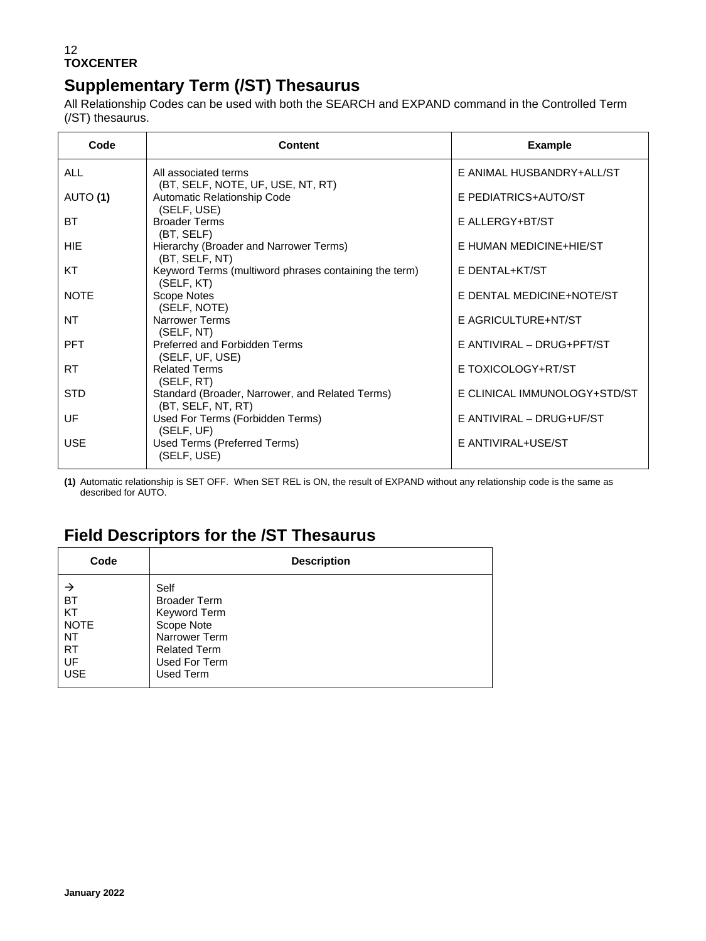## **Supplementary Term (/ST) Thesaurus**

All Relationship Codes can be used with both the SEARCH and EXPAND command in the Controlled Term (/ST) thesaurus.

| Code        | <b>Content</b>                                                        | <b>Example</b>               |
|-------------|-----------------------------------------------------------------------|------------------------------|
| ALL         | All associated terms<br>(BT, SELF, NOTE, UF, USE, NT, RT)             | E ANIMAL HUSBANDRY+ALL/ST    |
| AUTO (1)    | Automatic Relationship Code<br>(SELF, USE)                            | E PEDIATRICS+AUTO/ST         |
| <b>BT</b>   | <b>Broader Terms</b><br>(BT, SELF)                                    | E ALLERGY+BT/ST              |
| <b>HIF</b>  | Hierarchy (Broader and Narrower Terms)<br>(BT, SELF, NT)              | E HUMAN MEDICINE+HIE/ST      |
| KT          | Keyword Terms (multiword phrases containing the term)<br>(SELF, KT)   | E DENTAL+KT/ST               |
| <b>NOTE</b> | Scope Notes<br>(SELF, NOTE)                                           | E DENTAL MEDICINE+NOTE/ST    |
| NT          | <b>Narrower Terms</b><br>(SELF, NT)                                   | E AGRICULTURE+NT/ST          |
| <b>PFT</b>  | Preferred and Forbidden Terms<br>(SELF, UF, USE)                      | E ANTIVIRAL - DRUG+PFT/ST    |
| <b>RT</b>   | <b>Related Terms</b><br>(SELF, RT)                                    | E TOXICOLOGY+RT/ST           |
| <b>STD</b>  | Standard (Broader, Narrower, and Related Terms)<br>(BT, SELF, NT, RT) | E CLINICAL IMMUNOLOGY+STD/ST |
| UF          | Used For Terms (Forbidden Terms)<br>(SELF, UF)                        | E ANTIVIRAL - DRUG+UF/ST     |
| <b>USE</b>  | Used Terms (Preferred Terms)<br>(SELF, USE)                           | E ANTIVIRAL+USE/ST           |

**(1)** Automatic relationship is SET OFF. When SET REL is ON, the result of EXPAND without any relationship code is the same as described for AUTO.

### **Field Descriptors for the /ST Thesaurus**

| Code        | <b>Description</b>  |
|-------------|---------------------|
| →           | Self                |
| <b>BT</b>   | <b>Broader Term</b> |
| KT          | Keyword Term        |
| <b>NOTE</b> | Scope Note          |
| NT          | Narrower Term       |
| <b>RT</b>   | <b>Related Term</b> |
| UF          | Used For Term       |
| <b>USE</b>  | Used Term           |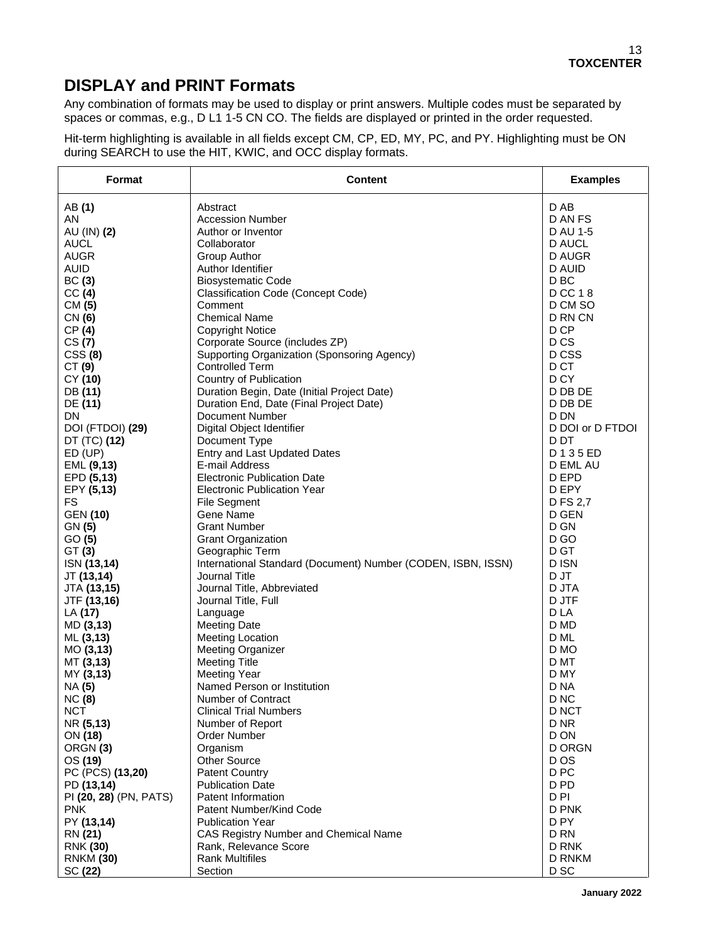## **DISPLAY and PRINT Formats**

Any combination of formats may be used to display or print answers. Multiple codes must be separated by spaces or commas, e.g., D L1 1-5 CN CO. The fields are displayed or printed in the order requested.

Hit-term highlighting is available in all fields except CM, CP, ED, MY, PC, and PY. Highlighting must be ON during SEARCH to use the HIT, KWIC, and OCC display formats.

| Format                 | <b>Content</b>                                               | <b>Examples</b>  |
|------------------------|--------------------------------------------------------------|------------------|
| AB (1)                 | Abstract                                                     | D AB             |
| AN                     | <b>Accession Number</b>                                      | D AN FS          |
| AU (IN) (2)            | Author or Inventor                                           | D AU 1-5         |
| <b>AUCL</b>            | Collaborator                                                 | <b>D AUCL</b>    |
| <b>AUGR</b>            | Group Author                                                 | D AUGR           |
| <b>AUID</b>            | Author Identifier                                            | <b>D AUID</b>    |
| BC(3)                  | <b>Biosystematic Code</b>                                    | D BC             |
| CC(4)                  | <b>Classification Code (Concept Code)</b>                    | D CC 18          |
| CM (5)                 | Comment                                                      | D CM SO          |
| CN (6)                 | <b>Chemical Name</b>                                         | D RN CN          |
| CP(4)                  | <b>Copyright Notice</b>                                      | D CP             |
| CS(7)                  | Corporate Source (includes ZP)                               | D <sub>CS</sub>  |
| CSS(8)                 | Supporting Organization (Sponsoring Agency)                  | D CSS            |
| CT(9)                  | <b>Controlled Term</b>                                       | D CT             |
| CY (10)                | Country of Publication                                       | D CY             |
| DB (11)                | Duration Begin, Date (Initial Project Date)                  | D DB DE          |
| DE (11)                | Duration End, Date (Final Project Date)                      | D DB DE          |
| DN                     | <b>Document Number</b>                                       | D DN             |
| DOI (FTDOI) (29)       | Digital Object Identifier                                    | D DOI or D FTDOI |
| DT (TC) (12)           | Document Type                                                | D <sub>D</sub> T |
| $ED$ (UP)              | Entry and Last Updated Dates                                 | D135ED           |
| EML (9,13)             | E-mail Address                                               | D EML AU         |
| EPD (5,13)             | <b>Electronic Publication Date</b>                           | D EPD            |
| EPY (5,13)             | <b>Electronic Publication Year</b>                           | D EPY            |
| FS                     | <b>File Segment</b>                                          | D FS 2,7         |
| <b>GEN (10)</b>        | Gene Name                                                    | D GEN            |
| GN (5)                 | <b>Grant Number</b>                                          | D GN             |
| GO(5)                  | <b>Grant Organization</b>                                    | D <sub>GO</sub>  |
| GT(3)                  | Geographic Term                                              | D GT             |
| ISN (13,14)            | International Standard (Document) Number (CODEN, ISBN, ISSN) | D ISN            |
| JT (13,14)             | Journal Title                                                | D JT             |
| JTA (13,15)            | Journal Title, Abbreviated                                   | D JTA            |
| JTF (13,16)            | Journal Title, Full                                          | D JTF            |
| LA (17)                | Language                                                     | D LA             |
| MD (3,13)              | <b>Meeting Date</b>                                          | D MD             |
| ML (3,13)              | <b>Meeting Location</b>                                      | D ML             |
| MO(3, 13)              | <b>Meeting Organizer</b>                                     | D MO             |
| MT (3,13)              | <b>Meeting Title</b>                                         | D MT             |
| MY (3,13)              | <b>Meeting Year</b>                                          | D MY             |
| NA (5)                 | Named Person or Institution                                  | D NA             |
| <b>NC</b> (8)          | Number of Contract                                           | D <sub>NC</sub>  |
| <b>NCT</b>             | <b>Clinical Trial Numbers</b>                                | D NCT            |
| NR (5,13)              | Number of Report                                             | D NR             |
| ON (18)                | <b>Order Number</b>                                          | D ON             |
| ORGN <sub>(3)</sub>    | Organism                                                     | <b>D ORGN</b>    |
| OS (19)                | Other Source                                                 | D OS             |
| PC (PCS) (13,20)       | Patent Country                                               | D <sub>PC</sub>  |
| PD (13,14)             | <b>Publication Date</b>                                      | D PD             |
| PI (20, 28) (PN, PATS) | Patent Information                                           | D <sub>PI</sub>  |
| <b>PNK</b>             | Patent Number/Kind Code                                      | D PNK            |
| PY (13,14)             | <b>Publication Year</b>                                      | D PY             |
| RN (21)                | CAS Registry Number and Chemical Name                        | D <sub>RN</sub>  |
| <b>RNK (30)</b>        | Rank, Relevance Score                                        | D RNK            |
| <b>RNKM (30)</b>       | <b>Rank Multifiles</b>                                       | D RNKM           |
| SC (22)                | Section                                                      | D SC             |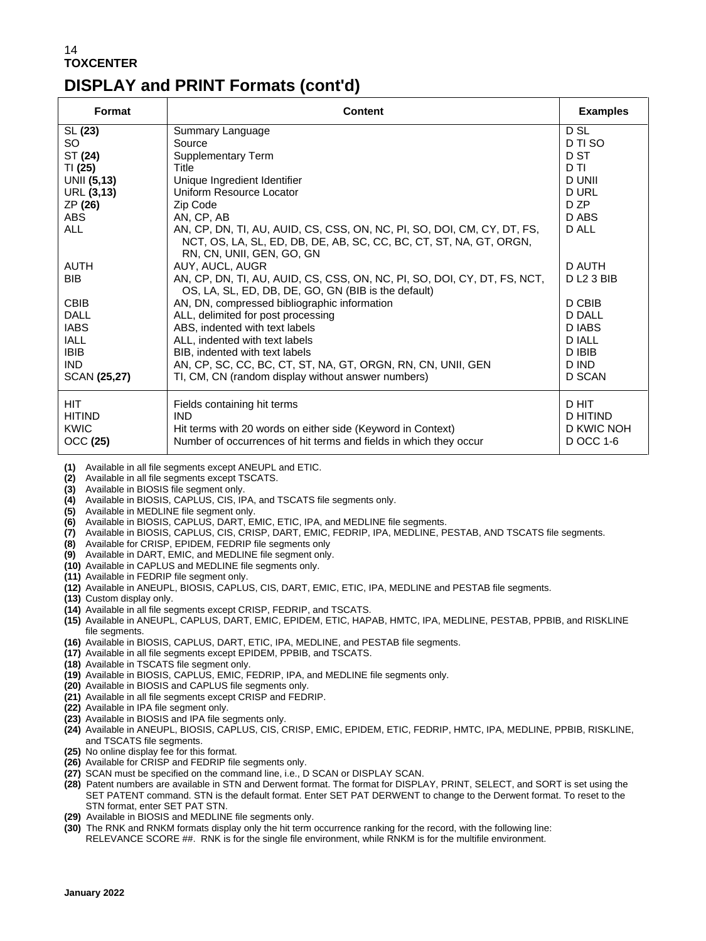## **DISPLAY and PRINT Formats (cont'd)**

| Format                                          | <b>Content</b>                                                                                                                                                                | <b>Examples</b>                              |
|-------------------------------------------------|-------------------------------------------------------------------------------------------------------------------------------------------------------------------------------|----------------------------------------------|
| SL (23)                                         | Summary Language                                                                                                                                                              | D SL                                         |
| SO                                              | Source                                                                                                                                                                        | D TI SO                                      |
| ST (24)                                         | Supplementary Term                                                                                                                                                            | D ST                                         |
| TI (25)                                         | Title                                                                                                                                                                         | D TI                                         |
| UNII (5,13)                                     | Unique Ingredient Identifier                                                                                                                                                  | <b>D UNII</b>                                |
| URL (3,13)                                      | Uniform Resource Locator                                                                                                                                                      | <b>DURL</b>                                  |
| ZP (26)                                         | Zip Code                                                                                                                                                                      | D <sub>ZP</sub>                              |
| ABS                                             | AN, CP, AB                                                                                                                                                                    | D ABS                                        |
| <b>ALL</b>                                      | AN, CP, DN, TI, AU, AUID, CS, CSS, ON, NC, PI, SO, DOI, CM, CY, DT, FS,<br>NCT, OS, LA, SL, ED, DB, DE, AB, SC, CC, BC, CT, ST, NA, GT, ORGN,<br>RN, CN, UNII, GEN, GO, GN    | D ALL                                        |
| AUTH                                            | AUY, AUCL, AUGR                                                                                                                                                               | D AUTH                                       |
| <b>BIB</b>                                      | AN, CP, DN, TI, AU, AUID, CS, CSS, ON, NC, PI, SO, DOI, CY, DT, FS, NCT,<br>OS, LA, SL, ED, DB, DE, GO, GN (BIB is the default)                                               | <b>DL2 3 BIB</b>                             |
| <b>CBIB</b>                                     | AN, DN, compressed bibliographic information                                                                                                                                  | D CBIB                                       |
| <b>DALL</b>                                     | ALL, delimited for post processing                                                                                                                                            | <b>D DALL</b>                                |
| <b>IABS</b>                                     | ABS, indented with text labels                                                                                                                                                | D IABS                                       |
| <b>IALL</b>                                     | ALL, indented with text labels                                                                                                                                                | <b>DIALL</b>                                 |
| <b>IBIB</b>                                     | BIB, indented with text labels                                                                                                                                                | D IBIB                                       |
| <b>IND</b>                                      | AN, CP, SC, CC, BC, CT, ST, NA, GT, ORGN, RN, CN, UNII, GEN                                                                                                                   | D IND                                        |
| SCAN (25,27)                                    | TI, CM, CN (random display without answer numbers)                                                                                                                            | D SCAN                                       |
| <b>HIT</b><br><b>HITIND</b><br>KWIC<br>OCC (25) | Fields containing hit terms<br><b>IND</b><br>Hit terms with 20 words on either side (Keyword in Context)<br>Number of occurrences of hit terms and fields in which they occur | D HIT<br>D HITIND<br>D KWIC NOH<br>D OCC 1-6 |

**(1)** Available in all file segments except ANEUPL and ETIC.

- **(2)** Available in all file segments except TSCATS.
- **(3)** Available in BIOSIS file segment only.
- **(4)** Available in BIOSIS, CAPLUS, CIS, IPA, and TSCATS file segments only.
- **(5)** Available in MEDLINE file segment only.
- **(6)** Available in BIOSIS, CAPLUS, DART, EMIC, ETIC, IPA, and MEDLINE file segments.
- **(7)** Available in BIOSIS, CAPLUS, CIS, CRISP, DART, EMIC, FEDRIP, IPA, MEDLINE, PESTAB, AND TSCATS file segments.
- **(8)** Available for CRISP, EPIDEM, FEDRIP file segments only
- **(9)** Available in DART, EMIC, and MEDLINE file segment only.
- **(10)** Available in CAPLUS and MEDLINE file segments only.
- **(11)** Available in FEDRIP file segment only.
- **(12)** Available in ANEUPL, BIOSIS, CAPLUS, CIS, DART, EMIC, ETIC, IPA, MEDLINE and PESTAB file segments.
- **(13)** Custom display only.
- **(14)** Available in all file segments except CRISP, FEDRIP, and TSCATS.
- **(15)** Available in ANEUPL, CAPLUS, DART, EMIC, EPIDEM, ETIC, HAPAB, HMTC, IPA, MEDLINE, PESTAB, PPBIB, and RISKLINE file segments
- **(16)** Available in BIOSIS, CAPLUS, DART, ETIC, IPA, MEDLINE, and PESTAB file segments.
- **(17)** Available in all file segments except EPIDEM, PPBIB, and TSCATS.
- **(18)** Available in TSCATS file segment only.
- **(19)** Available in BIOSIS, CAPLUS, EMIC, FEDRIP, IPA, and MEDLINE file segments only.
- **(20)** Available in BIOSIS and CAPLUS file segments only.
- **(21)** Available in all file segments except CRISP and FEDRIP.
- **(22)** Available in IPA file segment only.
- **(23)** Available in BIOSIS and IPA file segments only.
- **(24)** Available in ANEUPL, BIOSIS, CAPLUS, CIS, CRISP, EMIC, EPIDEM, ETIC, FEDRIP, HMTC, IPA, MEDLINE, PPBIB, RISKLINE, and TSCATS file segments.
- **(25)** No online display fee for this format.
- **(26)** Available for CRISP and FEDRIP file segments only.
- **(27)** SCAN must be specified on the command line, i.e., D SCAN or DISPLAY SCAN.
- **(28)** Patent numbers are available in STN and Derwent format. The format for DISPLAY, PRINT, SELECT, and SORT is set using the SET PATENT command. STN is the default format. Enter SET PAT DERWENT to change to the Derwent format. To reset to the STN format, enter SET PAT STN.
- **(29)** Available in BIOSIS and MEDLINE file segments only.
- **(30)** The RNK and RNKM formats display only the hit term occurrence ranking for the record, with the following line: RELEVANCE SCORE ##. RNK is for the single file environment, while RNKM is for the multifile environment.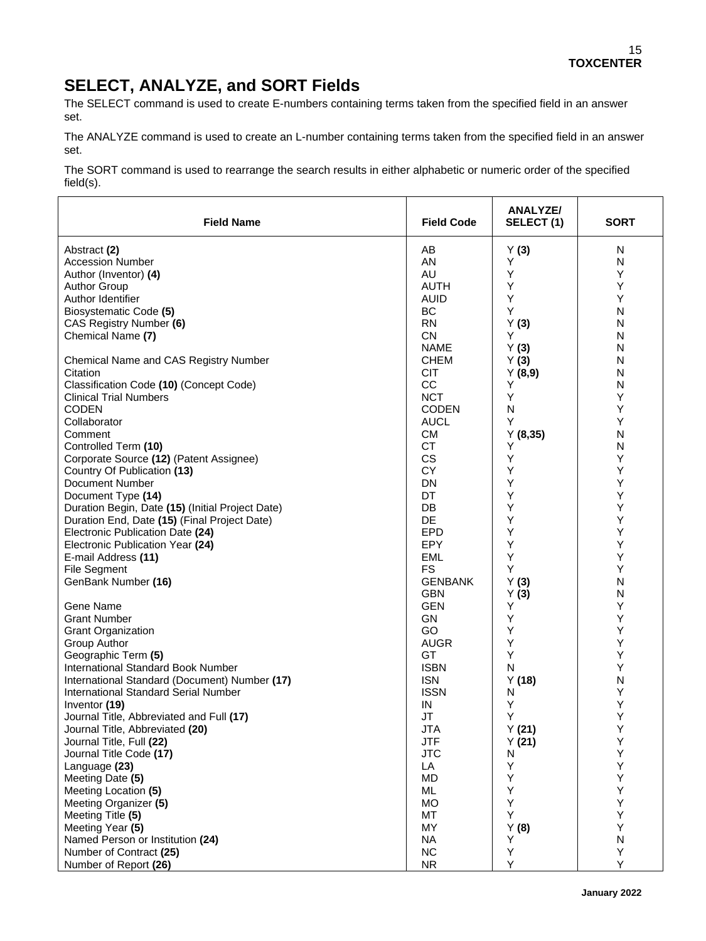## **SELECT, ANALYZE, and SORT Fields**

The SELECT command is used to create E-numbers containing terms taken from the specified field in an answer set.

The ANALYZE command is used to create an L-number containing terms taken from the specified field in an answer set.

The SORT command is used to rearrange the search results in either alphabetic or numeric order of the specified field(s).

| <b>Field Name</b>                                | <b>Field Code</b> | <b>ANALYZE/</b><br>SELECT(1) | <b>SORT</b> |
|--------------------------------------------------|-------------------|------------------------------|-------------|
| Abstract (2)                                     | AB                | Y(3)                         | N           |
| <b>Accession Number</b>                          | AN                | Y                            | Ν           |
| Author (Inventor) (4)                            | AU                | Υ                            | Υ           |
| <b>Author Group</b>                              | <b>AUTH</b>       | Υ                            | Υ           |
| Author Identifier                                | <b>AUID</b>       | Y                            | Y           |
| Biosystematic Code (5)                           | ВC                | Y                            | N           |
| CAS Registry Number (6)                          | <b>RN</b>         | Y(3)                         | N           |
| Chemical Name (7)                                | <b>CN</b>         | Y                            | N           |
|                                                  | <b>NAME</b>       | Y(3)                         | N           |
| Chemical Name and CAS Registry Number            | <b>CHEM</b>       | Y(3)                         | N           |
| Citation                                         | <b>CIT</b>        | Y(8,9)                       | N           |
| Classification Code (10) (Concept Code)          | CC                | Y                            | N           |
| <b>Clinical Trial Numbers</b>                    | <b>NCT</b>        | Y                            | Υ           |
| <b>CODEN</b>                                     | <b>CODEN</b>      | N                            | Υ           |
| Collaborator                                     | <b>AUCL</b>       | Υ                            | Υ           |
| Comment                                          | <b>CM</b>         | Y(8,35)                      | N           |
| Controlled Term (10)                             | <b>CT</b>         | Y                            | N           |
| Corporate Source (12) (Patent Assignee)          | <b>CS</b>         | Υ                            | Υ           |
| Country Of Publication (13)                      | <b>CY</b>         | Υ                            | Υ           |
| <b>Document Number</b>                           | <b>DN</b>         | Y                            | Υ           |
| Document Type (14)                               | DT                | Υ                            | Υ           |
| Duration Begin, Date (15) (Initial Project Date) | DB                | Υ                            | Υ           |
| Duration End, Date (15) (Final Project Date)     | DE                | Y                            | Υ           |
| Electronic Publication Date (24)                 | <b>EPD</b>        | Y                            | Υ           |
| Electronic Publication Year (24)                 | <b>EPY</b>        | Υ                            | Υ           |
| E-mail Address (11)                              | EML               | Υ                            | Υ           |
| <b>File Segment</b>                              | <b>FS</b>         | Υ                            | Y           |
| GenBank Number (16)                              | <b>GENBANK</b>    | Y(3)                         | N           |
|                                                  | <b>GBN</b>        | Y(3)                         | N           |
| Gene Name                                        | <b>GEN</b>        | Y                            | Υ           |
| <b>Grant Number</b>                              | GN                | Y                            | Υ           |
| <b>Grant Organization</b>                        | GO                | Y                            | Υ           |
| Group Author                                     | <b>AUGR</b>       | Υ                            | Υ           |
| Geographic Term (5)                              | GT                | Y                            | Υ           |
| International Standard Book Number               | <b>ISBN</b>       | N                            | Y           |
| International Standard (Document) Number (17)    | <b>ISN</b>        | Y(18)                        | N           |
| <b>International Standard Serial Number</b>      | <b>ISSN</b>       | N                            | Υ           |
| Inventor (19)                                    | IN                | Υ                            | Y           |
| Journal Title, Abbreviated and Full (17)         | <b>JT</b>         | Υ                            | Υ           |
| Journal Title, Abbreviated (20)                  | <b>JTA</b>        | Y(21)                        | Υ           |
| Journal Title, Full (22)                         | <b>JTF</b>        | Y(21)                        | Υ           |
| Journal Title Code (17)                          | <b>JTC</b>        | N                            | Υ           |
| Language (23)                                    | LA                | Υ                            | Υ           |
| Meeting Date (5)                                 | <b>MD</b>         | Υ                            | Υ           |
| Meeting Location (5)                             | ML                | Υ                            | Υ           |
| Meeting Organizer (5)                            | MO                | Υ                            | Υ           |
| Meeting Title (5)                                | MT                | Υ                            | Υ           |
| Meeting Year (5)                                 | MY                | Y(8)                         | Υ           |
| Named Person or Institution (24)                 | <b>NA</b>         | Υ                            | N           |
| Number of Contract (25)                          | <b>NC</b>         | Υ                            | Υ           |
| Number of Report (26)                            | <b>NR</b>         | Υ                            | Y           |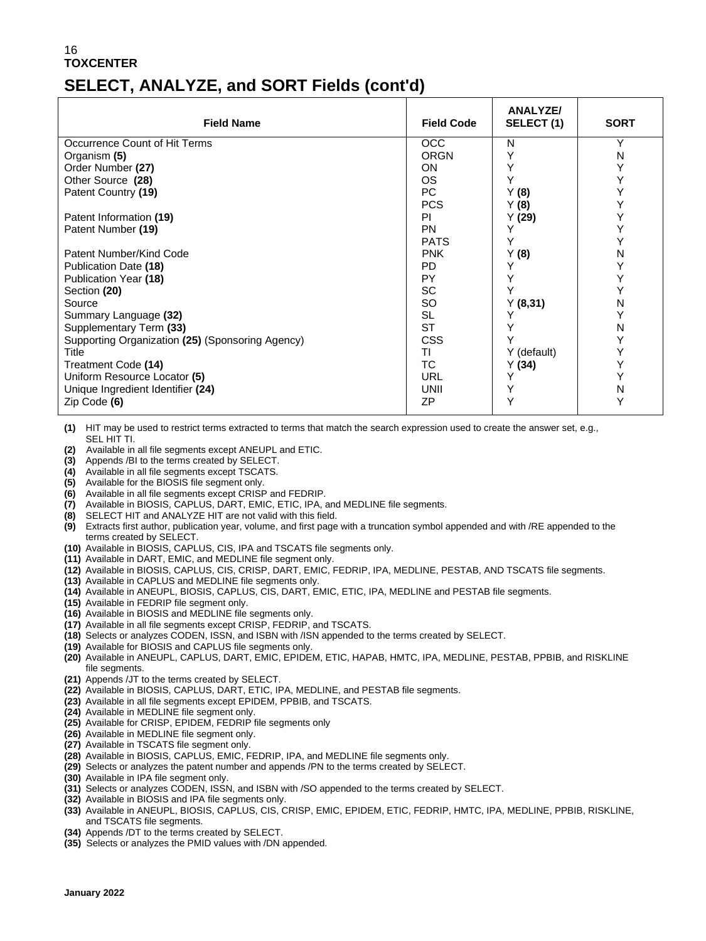## **SELECT, ANALYZE, and SORT Fields (cont'd)**

| <b>Field Name</b>                                | <b>Field Code</b> | <b>ANALYZE/</b><br>SELECT (1) | <b>SORT</b> |
|--------------------------------------------------|-------------------|-------------------------------|-------------|
| Occurrence Count of Hit Terms                    | <b>OCC</b>        | N                             | Υ           |
| Organism (5)                                     | <b>ORGN</b>       | Y                             | N           |
| Order Number (27)                                | <b>ON</b>         | Υ                             | Υ           |
| Other Source (28)                                | OS.               | Υ                             | Υ           |
| Patent Country (19)                              | PC                | Y(8)                          |             |
|                                                  | <b>PCS</b>        | Y(8)                          |             |
| Patent Information (19)                          | PI                | Y(29)                         |             |
| Patent Number (19)                               | <b>PN</b>         | Υ                             |             |
|                                                  | <b>PATS</b>       | Y                             |             |
| Patent Number/Kind Code                          | <b>PNK</b>        | Y(8)                          | N           |
| Publication Date (18)                            | <b>PD</b>         |                               |             |
| Publication Year (18)                            | PY                | Y                             |             |
| Section (20)                                     | SC                | Y                             |             |
| Source                                           | <b>SO</b>         | Y(8,31)                       | N           |
| Summary Language (32)                            | <b>SL</b>         |                               |             |
| Supplementary Term (33)                          | <b>ST</b>         |                               | N           |
| Supporting Organization (25) (Sponsoring Agency) | <b>CSS</b>        |                               | Υ           |
| Title                                            | ΤI                | Y (default)                   | Υ           |
| Treatment Code (14)                              | ТC                | Y(34)                         | Υ           |
| Uniform Resource Locator (5)                     | URL               |                               |             |
| Unique Ingredient Identifier (24)                | UNII              | Υ                             | N           |
| Zip Code (6)                                     | <b>ZP</b>         |                               |             |

**(1)** HIT may be used to restrict terms extracted to terms that match the search expression used to create the answer set, e.g., SEL HIT TI.

- **(2)** Available in all file segments except ANEUPL and ETIC.
- **(3)** Appends /BI to the terms created by SELECT.
- **(4)** Available in all file segments except TSCATS.
- **(5)** Available for the BIOSIS file segment only.
- **(6)** Available in all file segments except CRISP and FEDRIP.
- **(7)** Available in BIOSIS, CAPLUS, DART, EMIC, ETIC, IPA, and MEDLINE file segments.
- **(8)** SELECT HIT and ANALYZE HIT are not valid with this field.
- **(9)** Extracts first author, publication year, volume, and first page with a truncation symbol appended and with /RE appended to the terms created by SELECT.
- **(10)** Available in BIOSIS, CAPLUS, CIS, IPA and TSCATS file segments only.
- **(11)** Available in DART, EMIC, and MEDLINE file segment only. **(12)** Available in BIOSIS, CAPLUS, CIS, CRISP, DART, EMIC, FEDRIP, IPA, MEDLINE, PESTAB, AND TSCATS file segments.
- **(13)** Available in CAPLUS and MEDLINE file segments only.
- **(14)** Available in ANEUPL, BIOSIS, CAPLUS, CIS, DART, EMIC, ETIC, IPA, MEDLINE and PESTAB file segments.
- **(15)** Available in FEDRIP file segment only.
- **(16)** Available in BIOSIS and MEDLINE file segments only.
- **(17)** Available in all file segments except CRISP, FEDRIP, and TSCATS.
- **(18)** Selects or analyzes CODEN, ISSN, and ISBN with /ISN appended to the terms created by SELECT.
- **(19)** Available for BIOSIS and CAPLUS file segments only.
- **(20)** Available in ANEUPL, CAPLUS, DART, EMIC, EPIDEM, ETIC, HAPAB, HMTC, IPA, MEDLINE, PESTAB, PPBIB, and RISKLINE file segments.
- **(21)** Appends /JT to the terms created by SELECT.
- **(22)** Available in BIOSIS, CAPLUS, DART, ETIC, IPA, MEDLINE, and PESTAB file segments.
- **(23)** Available in all file segments except EPIDEM, PPBIB, and TSCATS.
- **(24)** Available in MEDLINE file segment only.
- **(25)** Available for CRISP, EPIDEM, FEDRIP file segments only
- **(26)** Available in MEDLINE file segment only.
- **(27)** Available in TSCATS file segment only.
- **(28)** Available in BIOSIS, CAPLUS, EMIC, FEDRIP, IPA, and MEDLINE file segments only.
- **(29)** Selects or analyzes the patent number and appends /PN to the terms created by SELECT.
- **(30)** Available in IPA file segment only.
- **(31)** Selects or analyzes CODEN, ISSN, and ISBN with /SO appended to the terms created by SELECT.
- **(32)** Available in BIOSIS and IPA file segments only.
- **(33)** Available in ANEUPL, BIOSIS, CAPLUS, CIS, CRISP, EMIC, EPIDEM, ETIC, FEDRIP, HMTC, IPA, MEDLINE, PPBIB, RISKLINE, and TSCATS file segments.
- **(34)** Appends /DT to the terms created by SELECT.
- **(35)** Selects or analyzes the PMID values with /DN appended.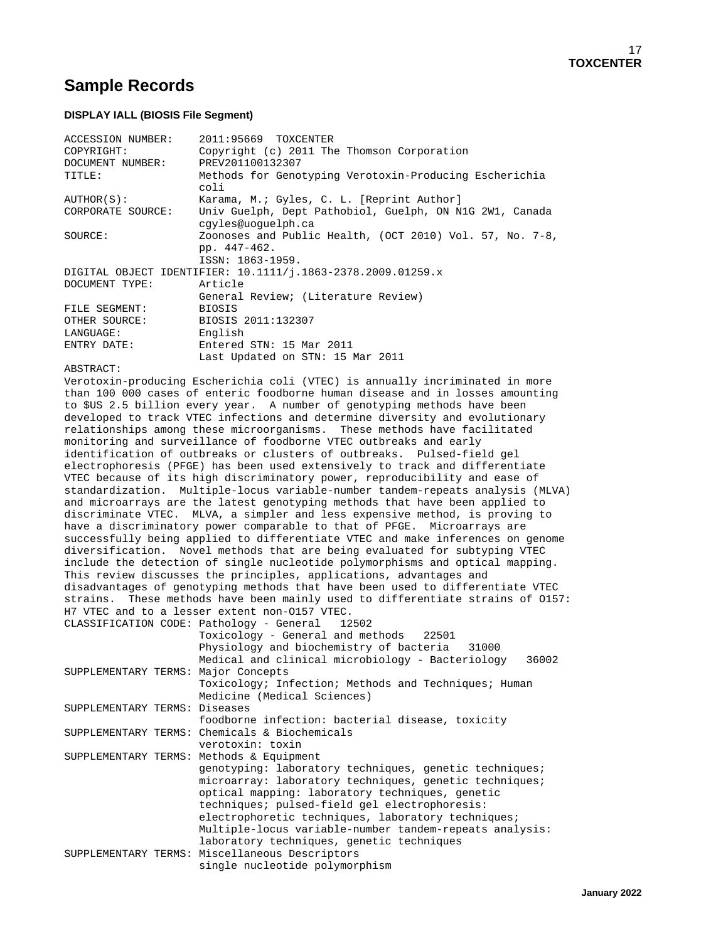### **Sample Records**

#### **DISPLAY IALL (BIOSIS File Segment)**

| ACCESSION NUMBER:                 | 2011:95669 TOXCENTER                                           |
|-----------------------------------|----------------------------------------------------------------|
| COPYRIGHT:                        | Copyright (c) 2011 The Thomson Corporation                     |
| DOCUMENT NUMBER: PREV201100132307 |                                                                |
| TITLE:                            | Methods for Genotyping Verotoxin-Producing Escherichia<br>coli |
| AUTHOR(S):                        | Karama, M.; Gyles, C. L. [Reprint Author]                      |
| CORPORATE SOURCE:                 | Univ Guelph, Dept Pathobiol, Guelph, ON N1G 2W1, Canada        |
|                                   | cqyles@uoquelph.ca                                             |
| SOURCE:                           | Zoonoses and Public Health, (OCT 2010) Vol. 57, No. 7-8,       |
|                                   | pp. 447-462.                                                   |
|                                   | ISSN: 1863-1959.                                               |
|                                   | DIGITAL OBJECT IDENTIFIER: 10.1111/j.1863-2378.2009.01259.x    |
| DOCUMENT TYPE:                    | Article                                                        |
|                                   | General Review; (Literature Review)                            |
| FILE SEGMENT:                     | <b>BIOSIS</b>                                                  |
| OTHER SOURCE:                     | BIOSIS 2011:132307                                             |
| LANGUAGE:                         | English                                                        |
| ENTRY DATE:                       | Entered STN: 15 Mar 2011                                       |
|                                   | Last Updated on STN: 15 Mar 2011                               |

#### ABSTRACT:

Verotoxin-producing Escherichia coli (VTEC) is annually incriminated in more than 100 000 cases of enteric foodborne human disease and in losses amounting to \$US 2.5 billion every year. A number of genotyping methods have been developed to track VTEC infections and determine diversity and evolutionary relationships among these microorganisms. These methods have facilitated monitoring and surveillance of foodborne VTEC outbreaks and early identification of outbreaks or clusters of outbreaks. Pulsed-field gel electrophoresis (PFGE) has been used extensively to track and differentiate VTEC because of its high discriminatory power, reproducibility and ease of standardization. Multiple-locus variable-number tandem-repeats analysis (MLVA) and microarrays are the latest genotyping methods that have been applied to discriminate VTEC. MLVA, a simpler and less expensive method, is proving to have a discriminatory power comparable to that of PFGE. Microarrays are successfully being applied to differentiate VTEC and make inferences on genome diversification. Novel methods that are being evaluated for subtyping VTEC include the detection of single nucleotide polymorphisms and optical mapping. This review discusses the principles, applications, advantages and disadvantages of genotyping methods that have been used to differentiate VTEC strains. These methods have been mainly used to differentiate strains of O157: H7 VTEC and to a lesser extent non-0157 VTEC.<br>CLASSIFICATION CODE: Pathology - General 12502 CLASSIFICATION CODE: Pathology - General 12502

|                               | CLASSIFICATION CODE, PACHOTOGY - GENETAI 12502            |
|-------------------------------|-----------------------------------------------------------|
|                               | Toxicology - General and methods 22501                    |
|                               | Physiology and biochemistry of bacteria<br>31000          |
|                               | Medical and clinical microbiology - Bacteriology<br>36002 |
|                               | SUPPLEMENTARY TERMS: Major Concepts                       |
|                               | Toxicology; Infection; Methods and Techniques; Human      |
|                               | Medicine (Medical Sciences)                               |
| SUPPLEMENTARY TERMS: Diseases |                                                           |
|                               | foodborne infection: bacterial disease, toxicity          |
|                               | SUPPLEMENTARY TERMS: Chemicals & Biochemicals             |
|                               | verotoxin: toxin                                          |
|                               | SUPPLEMENTARY TERMS: Methods & Equipment                  |
|                               | genotyping: laboratory techniques, genetic techniques;    |
|                               | microarray: laboratory techniques, genetic techniques;    |
|                               | optical mapping: laboratory techniques, genetic           |
|                               | techniques; pulsed-field gel electrophoresis:             |
|                               | electrophoretic techniques, laboratory techniques;        |
|                               | Multiple-locus variable-number tandem-repeats analysis:   |
|                               | laboratory techniques, genetic techniques                 |
|                               | SUPPLEMENTARY TERMS: Miscellaneous Descriptors            |
|                               | single nucleotide polymorphism                            |
|                               |                                                           |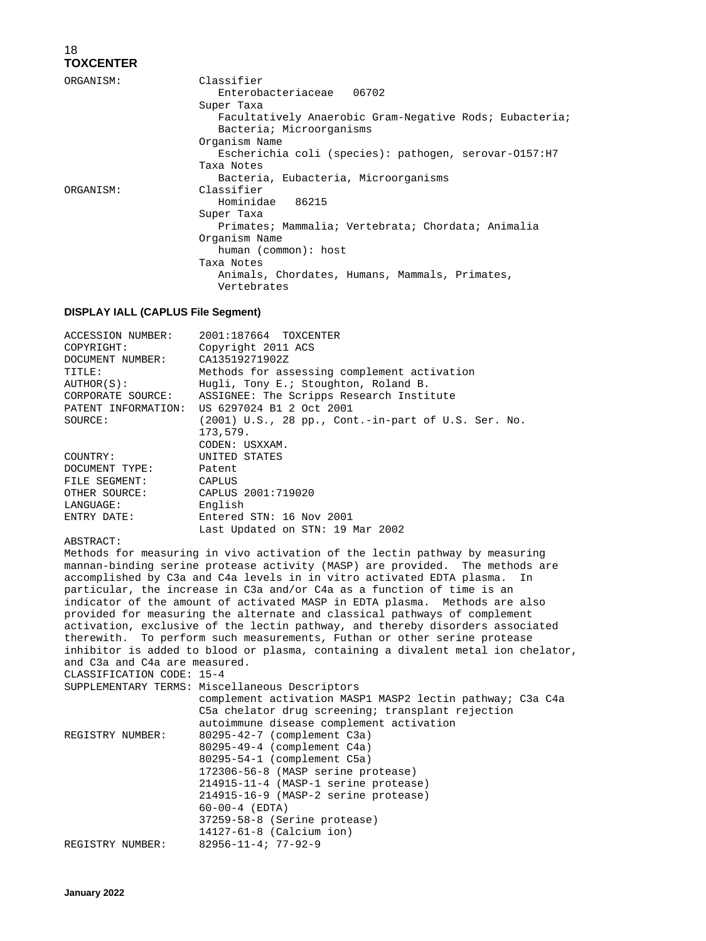| ORGANISM: | Classifier<br>Enterobacteriaceae 06702                                                            |
|-----------|---------------------------------------------------------------------------------------------------|
|           | Super Taxa<br>Facultatively Anaerobic Gram-Negative Rods; Eubacteria;<br>Bacteria; Microorganisms |
|           | Organism Name                                                                                     |
|           | Escherichia coli (species): pathogen, serovar-0157:H7                                             |
|           | Taxa Notes                                                                                        |
|           | Bacteria, Eubacteria, Microorganisms                                                              |
| ORGANISM: | Classifier                                                                                        |
|           | Hominidae 86215                                                                                   |
|           | Super Taxa                                                                                        |
|           | Primates; Mammalia; Vertebrata; Chordata; Animalia                                                |
|           | Organism Name                                                                                     |
|           | human (common): host                                                                              |
|           | Taxa Notes                                                                                        |
|           | Animals, Chordates, Humans, Mammals, Primates,<br>Vertebrates                                     |

#### **DISPLAY IALL (CAPLUS File Segment)**

| ACCESSION NUMBER:   | 2001:187664 TOXCENTER                                 |
|---------------------|-------------------------------------------------------|
| COPYRIGHT:          | Copyright 2011 ACS                                    |
| DOCUMENT NUMBER:    | CA13519271902Z                                        |
| TITLE:              | Methods for assessing complement activation           |
| AUTHOR(S):          | Hugli, Tony E.; Stoughton, Roland B.                  |
| CORPORATE SOURCE:   | ASSIGNEE: The Scripps Research Institute              |
| PATENT INFORMATION: | US 6297024 B1 2 Oct 2001                              |
| SOURCE:             | $(2001)$ U.S., 28 pp., Cont.-in-part of U.S. Ser. No. |
|                     | 173,579.                                              |
|                     | CODEN: USXXAM.                                        |
| COUNTRY:            | UNITED STATES                                         |
| DOCUMENT TYPE:      | Patent                                                |
| FILE SEGMENT:       | <b>CAPLUS</b>                                         |
| OTHER SOURCE:       | CAPLUS 2001:719020                                    |
| LANGUAGE:           | English                                               |
| ENTRY DATE:         | Entered STN: 16 Nov 2001                              |
|                     | Last Updated on STN: 19 Mar 2002                      |

#### ABSTRACT:

Methods for measuring in vivo activation of the lectin pathway by measuring mannan-binding serine protease activity (MASP) are provided. The methods are accomplished by C3a and C4a levels in in vitro activated EDTA plasma. In accomplished by C3a and C4a levels in in vitro activated EDTA plasma. particular, the increase in C3a and/or C4a as a function of time is an indicator of the amount of activated MASP in EDTA plasma. Methods are also provided for measuring the alternate and classical pathways of complement activation, exclusive of the lectin pathway, and thereby disorders associated therewith. To perform such measurements, Futhan or other serine protease inhibitor is added to blood or plasma, containing a divalent metal ion chelator, and C3a and C4a are measured. CLASSIFICATION CODE: 15-4

|                  | SUPPLEMENTARY TERMS: Miscellaneous Descriptors<br>complement activation MASP1 MASP2 lectin pathway; C3a C4a<br>C5a chelator drug screening; transplant rejection<br>autoimmune disease complement activation                                                                                          |
|------------------|-------------------------------------------------------------------------------------------------------------------------------------------------------------------------------------------------------------------------------------------------------------------------------------------------------|
| REGISTRY NUMBER: | 80295-42-7 (complement C3a)<br>80295-49-4 (complement C4a)<br>80295-54-1 (complement C5a)<br>172306-56-8 (MASP serine protease)<br>214915-11-4 (MASP-1 serine protease)<br>214915-16-9 (MASP-2 serine protease)<br>$60 - 00 - 4$ (EDTA)<br>37259-58-8 (Serine protease)<br>$14127-61-8$ (Calcium ion) |
| REGISTRY NUMBER: | $82956 - 11 - 4; 77 - 92 - 9$                                                                                                                                                                                                                                                                         |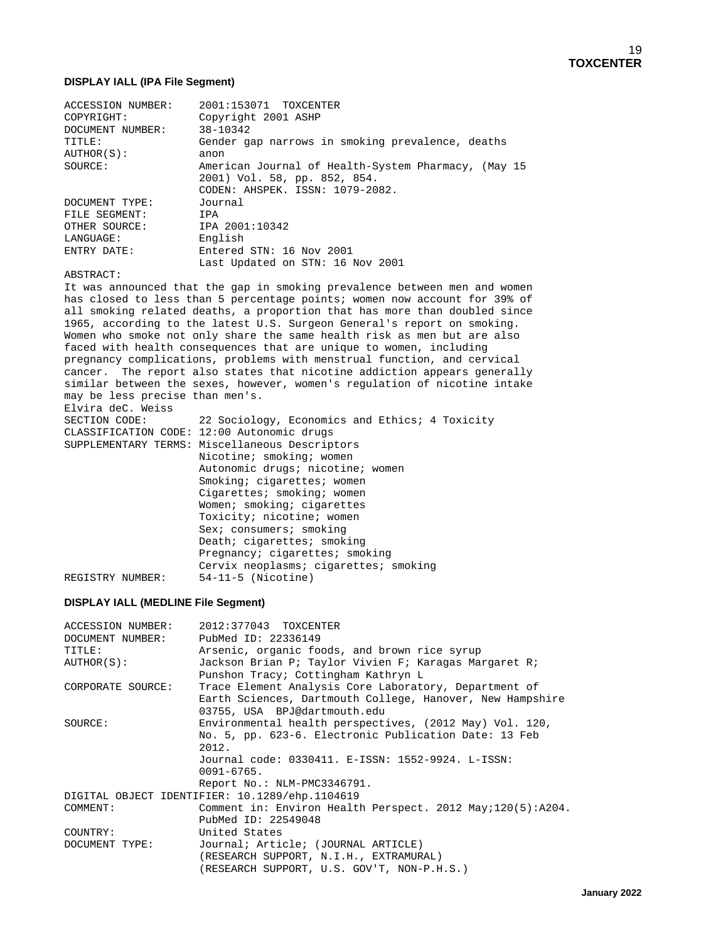#### **DISPLAY IALL (IPA File Segment)**

| <b>ACCESSION NUMBER:</b> | 2001:153071 TOXCENTER                               |
|--------------------------|-----------------------------------------------------|
| COPYRIGHT:               | Copyright 2001 ASHP                                 |
| DOCUMENT NUMBER:         | 38-10342                                            |
| TITLE:                   | Gender gap narrows in smoking prevalence, deaths    |
| AUTHOR(S):               | anon                                                |
| SOURCE:                  | American Journal of Health-System Pharmacy, (May 15 |
|                          | 2001) Vol. 58, pp. 852, 854.                        |
|                          | CODEN: AHSPEK, ISSN: 1079-2082.                     |
| DOCUMENT TYPE:           | Journal                                             |
| FILE SEGMENT:            | IPA                                                 |
| OTHER SOURCE:            | IPA 2001:10342                                      |
| LANGUAGE:                | English                                             |
| ENTRY DATE:              | Entered STN: 16 Nov 2001                            |
|                          | Last Updated on STN: 16 Nov 2001                    |

ABSTRACT:

It was announced that the gap in smoking prevalence between men and women has closed to less than 5 percentage points; women now account for 39% of all smoking related deaths, a proportion that has more than doubled since 1965, according to the latest U.S. Surgeon General's report on smoking. Women who smoke not only share the same health risk as men but are also faced with health consequences that are unique to women, including pregnancy complications, problems with menstrual function, and cervical cancer. The report also states that nicotine addiction appears generally similar between the sexes, however, women's regulation of nicotine intake may be less precise than men's. Elvira deC. Weiss<br>SECTION CODE: 22 Sociology, Economics and Ethics; 4 Toxicity CLASSIFICATION CODE: 12:00 Autonomic drugs SUPPLEMENTARY TERMS: Miscellaneous Descriptors Nicotine; smoking; women Autonomic drugs; nicotine; women Smoking; cigarettes; women Cigarettes; smoking; women Women; smoking; cigarettes Toxicity; nicotine; women Sex; consumers; smoking Death; cigarettes; smoking Pregnancy; cigarettes; smoking Cervix neoplasms; cigarettes; smoking REGISTRY NUMBER: 54-11-5 (Nicotine)

#### **DISPLAY IALL (MEDLINE File Segment)**

| ACCESSION NUMBER: | 2012:377043 TOXCENTER                                      |
|-------------------|------------------------------------------------------------|
| DOCUMENT NUMBER:  | PubMed ID: 22336149                                        |
| TITLE:            | Arsenic, organic foods, and brown rice syrup               |
| AUTHOR(S):        | Jackson Brian P; Taylor Vivien F; Karagas Margaret R;      |
|                   | Punshon Tracy; Cottingham Kathryn L                        |
| CORPORATE SOURCE: | Trace Element Analysis Core Laboratory, Department of      |
|                   | Earth Sciences, Dartmouth College, Hanover, New Hampshire  |
|                   | 03755, USA BPJ@dartmouth.edu                               |
| SOURCE:           | Environmental health perspectives, (2012 May) Vol. 120,    |
|                   | No. 5, pp. 623-6. Electronic Publication Date: 13 Feb      |
|                   | 2012.                                                      |
|                   | Journal code: 0330411. E-ISSN: 1552-9924. L-ISSN:          |
|                   | $0091 - 6765$ .                                            |
|                   | Report No.: NLM-PMC3346791.                                |
|                   | DIGITAL OBJECT IDENTIFIER: 10.1289/ehp.1104619             |
| COMMENT:          | Comment in: Environ Health Perspect. 2012 May;120(5):A204. |
|                   | PubMed ID: 22549048                                        |
| COUNTRY:          | United States                                              |
| DOCUMENT TYPE:    | Journal; Article; (JOURNAL ARTICLE)                        |
|                   | (RESEARCH SUPPORT, N.I.H., EXTRAMURAL)                     |
|                   | (RESEARCH SUPPORT, U.S. GOV'T, NON-P.H.S.)                 |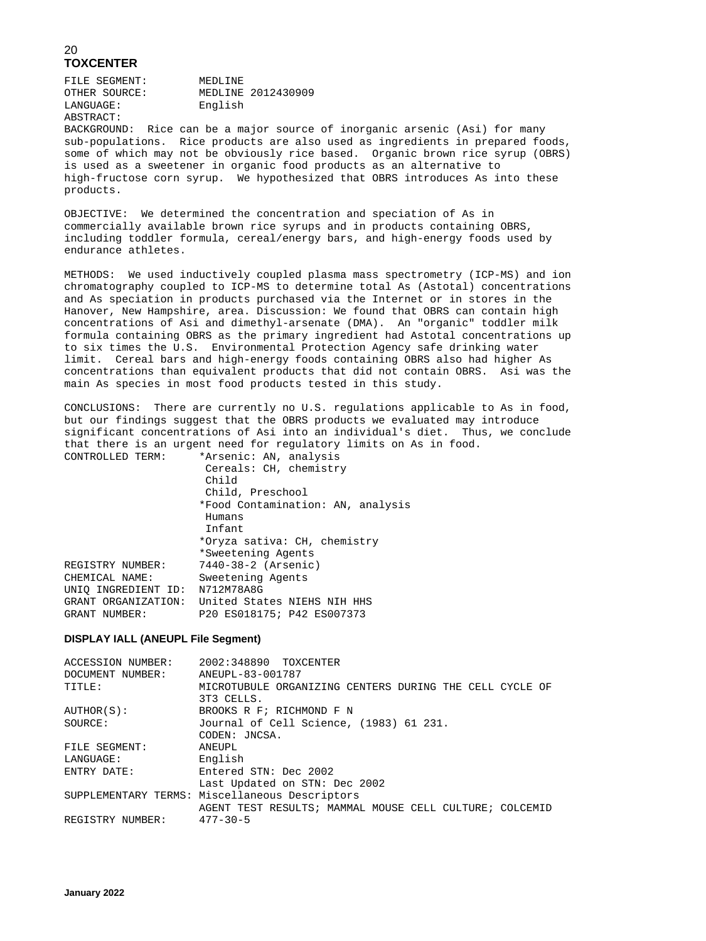FILE SEGMENT: MEDLINE<br>
OTHER SOURCE: MEDLINE OTHER SOURCE: MEDLINE 2012430909 English ABSTRACT:

BACKGROUND: Rice can be a major source of inorganic arsenic (Asi) for many sub-populations. Rice products are also used as ingredients in prepared foods, some of which may not be obviously rice based. Organic brown rice syrup (OBRS) is used as a sweetener in organic food products as an alternative to high-fructose corn syrup. We hypothesized that OBRS introduces As into these products.

OBJECTIVE: We determined the concentration and speciation of As in commercially available brown rice syrups and in products containing OBRS, including toddler formula, cereal/energy bars, and high-energy foods used by endurance athletes.

METHODS: We used inductively coupled plasma mass spectrometry (ICP-MS) and ion chromatography coupled to ICP-MS to determine total As (Astotal) concentrations and As speciation in products purchased via the Internet or in stores in the Hanover, New Hampshire, area. Discussion: We found that OBRS can contain high concentrations of Asi and dimethyl-arsenate (DMA). An "organic" toddler milk formula containing OBRS as the primary ingredient had Astotal concentrations up to six times the U.S. Environmental Protection Agency safe drinking water limit. Cereal bars and high-energy foods containing OBRS also had higher As concentrations than equivalent products that did not contain OBRS. Asi was the main As species in most food products tested in this study.

CONCLUSIONS: There are currently no U.S. regulations applicable to As in food, but our findings suggest that the OBRS products we evaluated may introduce significant concentrations of Asi into an individual's diet. Thus, we conclude that there is an urgent need for regulatory limits on As in food.<br>CONTROLLED TERM: \*Arsenic: AN, analysis

| CONTROLLED TERM:    | *Arsenic: AN, analysis            |
|---------------------|-----------------------------------|
|                     | Cereals: CH, chemistry            |
|                     | Child                             |
|                     | Child, Preschool                  |
|                     | *Food Contamination: AN, analysis |
|                     | Humans                            |
|                     | Infant                            |
|                     | *Oryza sativa: CH, chemistry      |
|                     | *Sweetening Agents                |
| REGISTRY NUMBER:    | 7440-38-2 (Arsenic)               |
| CHEMICAL NAME:      | Sweetening Agents                 |
| UNIO INGREDIENT ID: | N712M78A8G                        |
| GRANT ORGANIZATION: | United States NIEHS NIH HHS       |
| GRANT NUMBER:       | P20 ES018175; P42 ES007373        |
|                     |                                   |

#### **DISPLAY IALL (ANEUPL File Segment)**

| ACCESSION NUMBER: | 2002:348890 TOXCENTER                                   |
|-------------------|---------------------------------------------------------|
| DOCUMENT NUMBER:  | ANEUPL-83-001787                                        |
| TITLE:            | MICROTUBULE ORGANIZING CENTERS DURING THE CELL CYCLE OF |
|                   | 3T3 CELLS.                                              |
| AUTHOR(S):        | BROOKS R F; RICHMOND F N                                |
| SOURCE:           | Journal of Cell Science, (1983) 61 231.                 |
|                   | CODEN: JNCSA.                                           |
| FILE SEGMENT:     | ANEUPL                                                  |
| LANGUAGE:         | English                                                 |
| ENTRY DATE:       | Entered STN: Dec 2002                                   |
|                   | Last Updated on STN: Dec 2002                           |
|                   | SUPPLEMENTARY TERMS: Miscellaneous Descriptors          |
|                   | AGENT TEST RESULTS; MAMMAL MOUSE CELL CULTURE; COLCEMID |
| REGISTRY NUMBER:  | $477 - 30 - 5$                                          |
|                   |                                                         |

UNIQ I<br>GRANT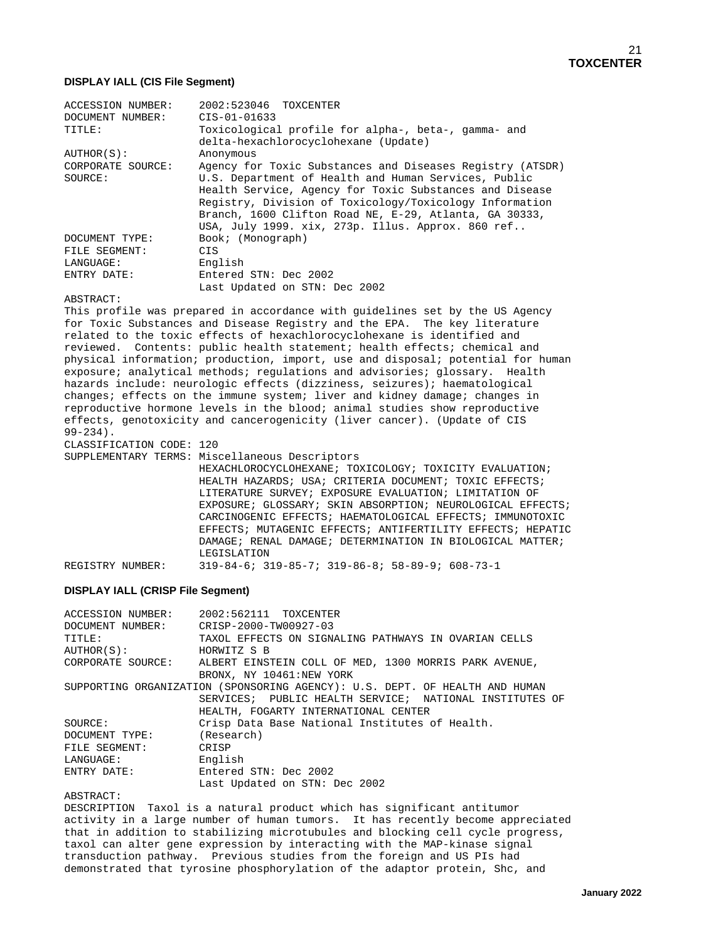#### **DISPLAY IALL (CIS File Segment)**

| <b>ACCESSION NUMBER:</b>     | 2002:523046 TOXCENTER                                                                                                                                                                                                                                                                                                                                  |
|------------------------------|--------------------------------------------------------------------------------------------------------------------------------------------------------------------------------------------------------------------------------------------------------------------------------------------------------------------------------------------------------|
| DOCUMENT NUMBER:             | $CIS - 01 - 01633$                                                                                                                                                                                                                                                                                                                                     |
| TITLE:                       | Toxicological profile for alpha-, beta-, gamma- and<br>delta-hexachlorocyclohexane (Update)                                                                                                                                                                                                                                                            |
| AUTHOR(S):                   | Anonymous                                                                                                                                                                                                                                                                                                                                              |
| CORPORATE SOURCE:<br>SOURCE: | Agency for Toxic Substances and Diseases Registry (ATSDR)<br>U.S. Department of Health and Human Services, Public<br>Health Service, Agency for Toxic Substances and Disease<br>Registry, Division of Toxicology/Toxicology Information<br>Branch, 1600 Clifton Road NE, E-29, Atlanta, GA 30333,<br>USA, July 1999. xix, 273p. Illus. Approx. 860 ref |
| DOCUMENT TYPE:               | Book; (Monograph)                                                                                                                                                                                                                                                                                                                                      |
| FILE SEGMENT:                | CIS                                                                                                                                                                                                                                                                                                                                                    |
| LANGUAGE:                    | English                                                                                                                                                                                                                                                                                                                                                |
| ENTRY DATE:                  | Entered STN: Dec 2002                                                                                                                                                                                                                                                                                                                                  |
|                              | Last Updated on STN: Dec 2002                                                                                                                                                                                                                                                                                                                          |
| 50000300                     |                                                                                                                                                                                                                                                                                                                                                        |

ABSTRACT:

This profile was prepared in accordance with guidelines set by the US Agency for Toxic Substances and Disease Registry and the EPA. The key literature related to the toxic effects of hexachlorocyclohexane is identified and reviewed. Contents: public health statement; health effects; chemical and physical information; production, import, use and disposal; potential for human exposure; analytical methods; regulations and advisories; glossary. Health hazards include: neurologic effects (dizziness, seizures); haematological changes; effects on the immune system; liver and kidney damage; changes in reproductive hormone levels in the blood; animal studies show reproductive effects, genotoxicity and cancerogenicity (liver cancer). (Update of CIS 99-234).

CLASSIFICATION CODE: 120 SUPPLEMENTARY TERMS: Miscellaneous Descriptors HEXACHLOROCYCLOHEXANE; TOXICOLOGY; TOXICITY EVALUATION; HEALTH HAZARDS; USA; CRITERIA DOCUMENT; TOXIC EFFECTS; LITERATURE SURVEY; EXPOSURE EVALUATION; LIMITATION OF EXPOSURE; GLOSSARY; SKIN ABSORPTION; NEUROLOGICAL EFFECTS; CARCINOGENIC EFFECTS; HAEMATOLOGICAL EFFECTS; IMMUNOTOXIC EFFECTS; MUTAGENIC EFFECTS; ANTIFERTILITY EFFECTS; HEPATIC DAMAGE; RENAL DAMAGE; DETERMINATION IN BIOLOGICAL MATTER; LEGISLATION REGISTRY NUMBER: 319-84-6; 319-85-7; 319-86-8; 58-89-9; 608-73-1

### **DISPLAY IALL (CRISP File Segment)**

| ACCESSION NUMBER: | 2002:562111 TOXCENTER                                                       |
|-------------------|-----------------------------------------------------------------------------|
|                   | DOCUMENT NUMBER: CRISP-2000-TW00927-03                                      |
| TITLE:            | TAXOL EFFECTS ON SIGNALING PATHWAYS IN OVARIAN CELLS                        |
| AUTHOR(S):        | HORWITZ S B                                                                 |
|                   | CORPORATE SOURCE: ALBERT EINSTEIN COLL OF MED, 1300 MORRIS PARK AVENUE,     |
|                   | BRONX, NY 10461:NEW YORK                                                    |
|                   | SUPPORTING ORGANIZATION (SPONSORING AGENCY): U.S. DEPT. OF HEALTH AND HUMAN |
|                   | SERVICES; PUBLIC HEALTH SERVICE; NATIONAL INSTITUTES OF                     |
|                   | HEALTH, FOGARTY INTERNATIONAL CENTER                                        |
| SOURCE:           | Crisp Data Base National Institutes of Health.                              |
| DOCUMENT TYPE:    | (Research)                                                                  |
| FILE SEGMENT:     | CRISP                                                                       |
| LANGUAGE:         | English                                                                     |
| ENTRY DATE:       | Entered STN: Dec 2002                                                       |
|                   | Last Updated on STN: Dec 2002                                               |

#### ABSTRACT:

DESCRIPTION Taxol is a natural product which has significant antitumor activity in a large number of human tumors. It has recently become appreciated that in addition to stabilizing microtubules and blocking cell cycle progress, taxol can alter gene expression by interacting with the MAP-kinase signal transduction pathway. Previous studies from the foreign and US PIs had demonstrated that tyrosine phosphorylation of the adaptor protein, Shc, and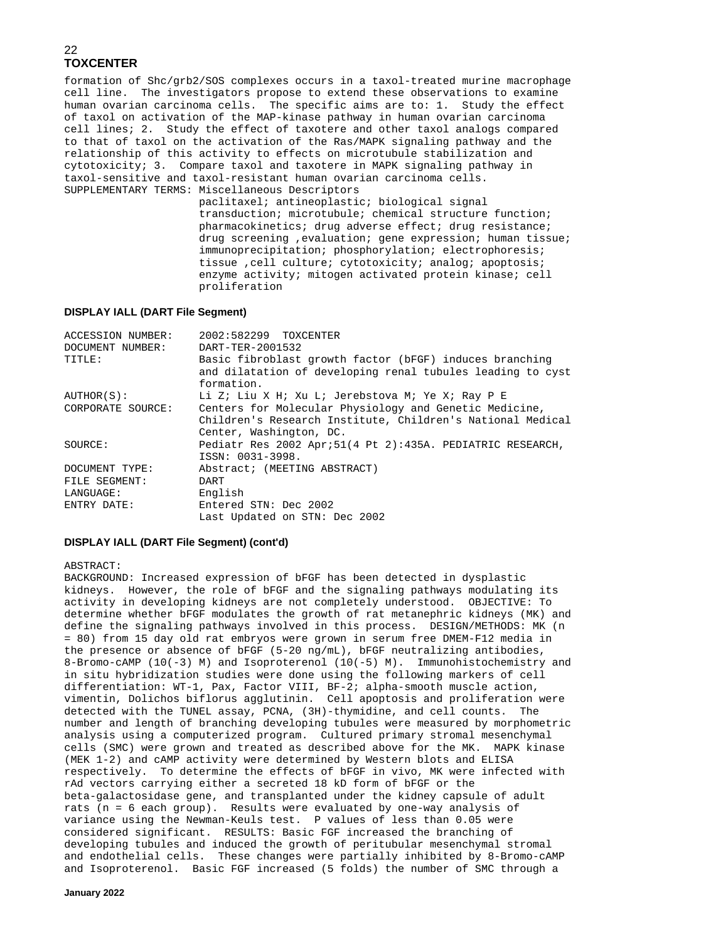formation of Shc/grb2/SOS complexes occurs in a taxol-treated murine macrophage cell line. The investigators propose to extend these observations to examine human ovarian carcinoma cells. The specific aims are to: 1. Study the effect of taxol on activation of the MAP-kinase pathway in human ovarian carcinoma cell lines; 2. Study the effect of taxotere and other taxol analogs compared to that of taxol on the activation of the Ras/MAPK signaling pathway and the relationship of this activity to effects on microtubule stabilization and cytotoxicity; 3. Compare taxol and taxotere in MAPK signaling pathway in taxol-sensitive and taxol-resistant human ovarian carcinoma cells. SUPPLEMENTARY TERMS: Miscellaneous Descriptors

 paclitaxel; antineoplastic; biological signal transduction; microtubule; chemical structure function; pharmacokinetics; drug adverse effect; drug resistance; drug screening ,evaluation; gene expression; human tissue; immunoprecipitation; phosphorylation; electrophoresis; tissue ,cell culture; cytotoxicity; analog; apoptosis; enzyme activity; mitogen activated protein kinase; cell proliferation

#### **DISPLAY IALL (DART File Segment)**

| <b>ACCESSION NUMBER:</b> | 2002:582299 TOXCENTER                                                                                                                           |
|--------------------------|-------------------------------------------------------------------------------------------------------------------------------------------------|
| DOCUMENT NUMBER:         | DART-TER-2001532                                                                                                                                |
| TITLE:                   | Basic fibroblast growth factor (bFGF) induces branching<br>and dilatation of developing renal tubules leading to cyst<br>formation.             |
| AUTHOR(S):               | Li Z; Liu X H; Xu L; Jerebstova M; Ye X; Ray P E                                                                                                |
| CORPORATE SOURCE:        | Centers for Molecular Physiology and Genetic Medicine,<br>Children's Research Institute, Children's National Medical<br>Center, Washington, DC. |
| SOURCE:                  | Pediatr Res 2002 Apr; 51(4 Pt 2): 435A. PEDIATRIC RESEARCH,<br>ISSN: 0031-3998.                                                                 |
| DOCUMENT TYPE:           | Abstract; (MEETING ABSTRACT)                                                                                                                    |
| FILE SEGMENT:            | DART                                                                                                                                            |
| LANGUAGE:                | English                                                                                                                                         |
| ENTRY DATE:              | Entered STN: Dec 2002                                                                                                                           |
|                          | Last Updated on STN: Dec 2002                                                                                                                   |

#### **DISPLAY IALL (DART File Segment) (cont'd)**

#### ABSTRACT:

BACKGROUND: Increased expression of bFGF has been detected in dysplastic kidneys. However, the role of bFGF and the signaling pathways modulating its activity in developing kidneys are not completely understood. OBJECTIVE: To determine whether bFGF modulates the growth of rat metanephric kidneys (MK) and define the signaling pathways involved in this process. DESIGN/METHODS: MK (n = 80) from 15 day old rat embryos were grown in serum free DMEM-F12 media in the presence or absence of bFGF (5-20 ng/mL), bFGF neutralizing antibodies, 8-Bromo-cAMP (10(-3) M) and Isoproterenol (10(-5) M). Immunohistochemistry and in situ hybridization studies were done using the following markers of cell differentiation: WT-1, Pax, Factor VIII, BF-2; alpha-smooth muscle action, vimentin, Dolichos biflorus agglutinin. Cell apoptosis and proliferation were detected with the TUNEL assay, PCNA, (3H)-thymidine, and cell counts. The number and length of branching developing tubules were measured by morphometric analysis using a computerized program. Cultured primary stromal mesenchymal cells (SMC) were grown and treated as described above for the MK. MAPK kinase (MEK 1-2) and cAMP activity were determined by Western blots and ELISA respectively. To determine the effects of bFGF in vivo, MK were infected with rAd vectors carrying either a secreted 18 kD form of bFGF or the beta-galactosidase gene, and transplanted under the kidney capsule of adult rats (n = 6 each group). Results were evaluated by one-way analysis of variance using the Newman-Keuls test. P values of less than 0.05 were considered significant. RESULTS: Basic FGF increased the branching of developing tubules and induced the growth of peritubular mesenchymal stromal and endothelial cells. These changes were partially inhibited by 8-Bromo-cAMP and Isoproterenol. Basic FGF increased (5 folds) the number of SMC through a

**January 2022**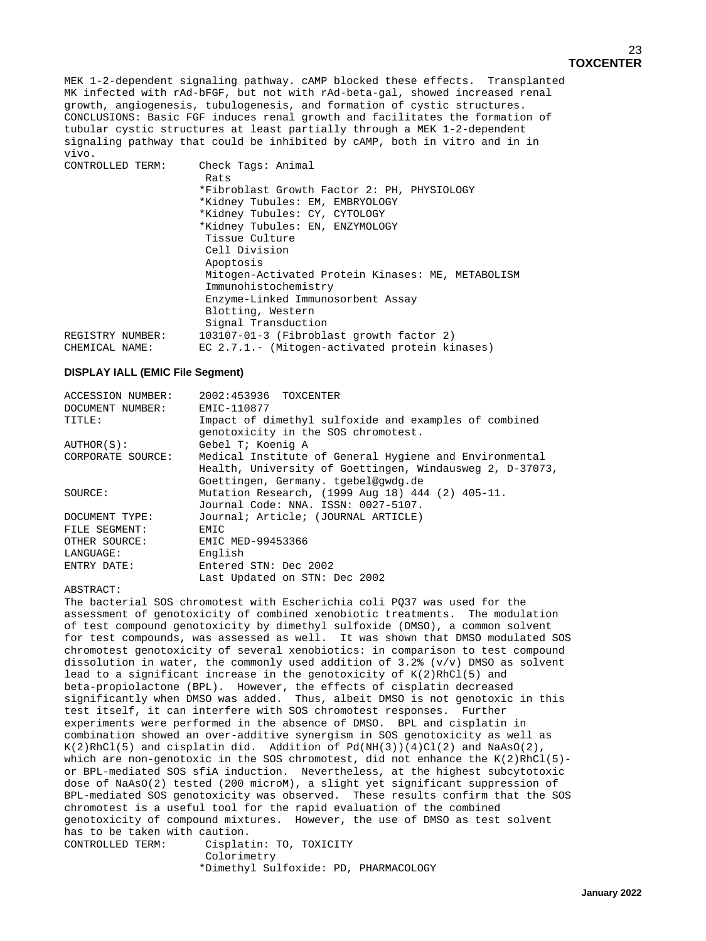#### MEK 1-2-dependent signaling pathway. cAMP blocked these effects. Transplanted MK infected with rAd-bFGF, but not with rAd-beta-gal, showed increased renal growth, angiogenesis, tubulogenesis, and formation of cystic structures. CONCLUSIONS: Basic FGF induces renal growth and facilitates the formation of tubular cystic structures at least partially through a MEK 1-2-dependent signaling pathway that could be inhibited by cAMP, both in vitro and in in vivo.

| CONTROLLED TERM: | Check Tags: Animal                                |
|------------------|---------------------------------------------------|
|                  | Rats                                              |
|                  | *Fibroblast Growth Factor 2: PH, PHYSIOLOGY       |
|                  | *Kidney Tubules: EM, EMBRYOLOGY                   |
|                  | *Kidney Tubules: CY, CYTOLOGY                     |
|                  | *Kidney Tubules: EN, ENZYMOLOGY                   |
|                  | Tissue Culture                                    |
|                  | Cell Division                                     |
|                  | Apoptosis                                         |
|                  | Mitogen-Activated Protein Kinases: ME, METABOLISM |
|                  | Immunohistochemistry                              |
|                  | Enzyme-Linked Immunosorbent Assay                 |
|                  | Blotting, Western                                 |
|                  | Signal Transduction                               |
| REGISTRY NUMBER: | 103107-01-3 (Fibroblast growth factor 2)          |
| CHEMICAL NAME:   | EC 2.7.1.- (Mitogen-activated protein kinases)    |

#### **DISPLAY IALL (EMIC File Segment)**

| <b>ACCESSION NUMBER:</b> | 2002:453936 TOXCENTER                                                                                                                                     |
|--------------------------|-----------------------------------------------------------------------------------------------------------------------------------------------------------|
| DOCUMENT NUMBER:         | EMIC-110877                                                                                                                                               |
| TITLE:                   | Impact of dimethyl sulfoxide and examples of combined<br>genotoxicity in the SOS chromotest.                                                              |
| AUTHOR(S):               | Gebel T; Koenig A                                                                                                                                         |
| CORPORATE SOURCE:        | Medical Institute of General Hygiene and Environmental<br>Health, University of Goettingen, Windausweg 2, D-37073,<br>Goettingen, Germany, tgebel@gwdg.de |
| SOURCE:                  | Mutation Research, (1999 Aug 18) 444 (2) 405-11.<br>Journal Code: NNA. ISSN: 0027-5107.                                                                   |
| DOCUMENT TYPE:           | Journal; Article; (JOURNAL ARTICLE)                                                                                                                       |
| FILE SEGMENT:            | EMIC                                                                                                                                                      |
| OTHER SOURCE:            | EMIC MED-99453366                                                                                                                                         |
| LANGUAGE:                | English                                                                                                                                                   |
| ENTRY DATE:              | Entered STN: Dec 2002                                                                                                                                     |
|                          | Last Updated on STN: Dec 2002                                                                                                                             |

#### ABSTRACT:

The bacterial SOS chromotest with Escherichia coli PQ37 was used for the assessment of genotoxicity of combined xenobiotic treatments. The modulation of test compound genotoxicity by dimethyl sulfoxide (DMSO), a common solvent for test compounds, was assessed as well. It was shown that DMSO modulated SOS chromotest genotoxicity of several xenobiotics: in comparison to test compound dissolution in water, the commonly used addition of  $3.2$ % (v/v) DMSO as solvent lead to a significant increase in the genotoxicity of  $K(2)RhCl(5)$  and beta-propiolactone (BPL). However, the effects of cisplatin decreased significantly when DMSO was added. Thus, albeit DMSO is not genotoxic in this test itself, it can interfere with SOS chromotest responses. Further experiments were performed in the absence of DMSO. BPL and cisplatin in combination showed an over-additive synergism in SOS genotoxicity as well as  $K(2)RhCl(5)$  and cisplatin did. Addition of  $Pd(NH(3))(4)Cl(2)$  and NaAsO(2), which are non-genotoxic in the SOS chromotest, did not enhance the  $K(2)RhCl(5)$ or BPL-mediated SOS sfiA induction. Nevertheless, at the highest subcytotoxic dose of NaAsO(2) tested (200 microM), a slight yet significant suppression of BPL-mediated SOS genotoxicity was observed. These results confirm that the SOS chromotest is a useful tool for the rapid evaluation of the combined genotoxicity of compound mixtures. However, the use of DMSO as test solvent has to be taken with caution.<br>CONTROLLED TERM: Cisplat Cisplatin: TO, TOXICITY

 Colorimetry \*Dimethyl Sulfoxide: PD, PHARMACOLOGY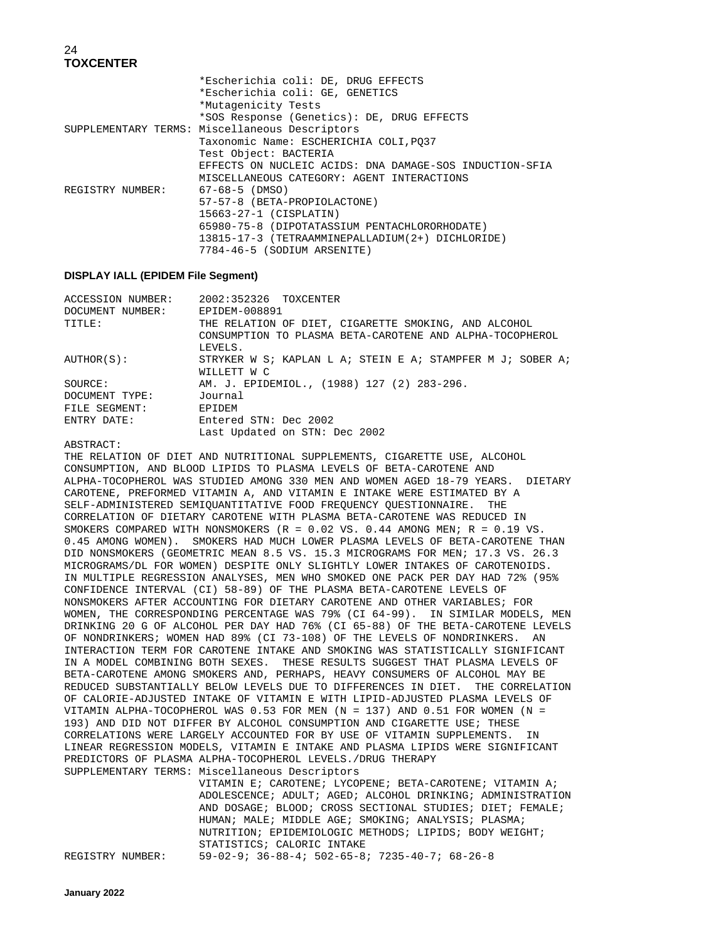|                  | *Escherichia coli: DE, DRUG EFFECTS                     |
|------------------|---------------------------------------------------------|
|                  | *Escherichia coli: GE, GENETICS                         |
|                  | *Mutagenicity Tests                                     |
|                  | *SOS Response (Genetics): DE, DRUG EFFECTS              |
|                  | SUPPLEMENTARY TERMS: Miscellaneous Descriptors          |
|                  | Taxonomic Name: ESCHERICHIA COLI, PO37                  |
|                  | Test Object: BACTERIA                                   |
|                  | EFFECTS ON NUCLEIC ACIDS: DNA DAMAGE-SOS INDUCTION-SFIA |
|                  | MISCELLANEOUS CATEGORY: AGENT INTERACTIONS              |
| REGISTRY NUMBER: | 67-68-5 (DMSO)                                          |
|                  | 57-57-8 (BETA-PROPIOLACTONE)                            |
|                  | $15663 - 27 - 1$ (CISPLATIN)                            |
|                  | 65980-75-8 (DIPOTATASSIUM PENTACHLORORHODATE)           |
|                  | 13815-17-3 (TETRAAMMINEPALLADIUM (2+) DICHLORIDE)       |
|                  | 7784-46-5 (SODIUM ARSENITE)                             |
|                  |                                                         |

#### **DISPLAY IALL (EPIDEM File Segment)**

| 2002:352326 TOXCENTER                                      |
|------------------------------------------------------------|
| EPIDEM-008891                                              |
| THE RELATION OF DIET, CIGARETTE SMOKING, AND ALCOHOL       |
| CONSUMPTION TO PLASMA BETA-CAROTENE AND ALPHA-TOCOPHEROL   |
| LEVELS.                                                    |
| STRYKER W S; KAPLAN L A; STEIN E A; STAMPFER M J; SOBER A; |
| WILLETT W C                                                |
| AM. J. EPIDEMIOL., (1988) 127 (2) 283-296.                 |
| Journal                                                    |
| <b>EPIDEM</b>                                              |
| Entered STN: Dec 2002                                      |
| Last Updated on STN: Dec 2002                              |
|                                                            |

ABSTRACT:

THE RELATION OF DIET AND NUTRITIONAL SUPPLEMENTS, CIGARETTE USE, ALCOHOL CONSUMPTION, AND BLOOD LIPIDS TO PLASMA LEVELS OF BETA-CAROTENE AND ALPHA-TOCOPHEROL WAS STUDIED AMONG 330 MEN AND WOMEN AGED 18-79 YEARS. DIETARY CAROTENE, PREFORMED VITAMIN A, AND VITAMIN E INTAKE WERE ESTIMATED BY A SELF-ADMINISTERED SEMIQUANTITATIVE FOOD FREQUENCY QUESTIONNAIRE. THE CORRELATION OF DIETARY CAROTENE WITH PLASMA BETA-CAROTENE WAS REDUCED IN SMOKERS COMPARED WITH NONSMOKERS (R = 0.02 VS. 0.44 AMONG MEN; R = 0.19 VS. 0.45 AMONG WOMEN). SMOKERS HAD MUCH LOWER PLASMA LEVELS OF BETA-CAROTENE THAN DID NONSMOKERS (GEOMETRIC MEAN 8.5 VS. 15.3 MICROGRAMS FOR MEN; 17.3 VS. 26.3 MICROGRAMS/DL FOR WOMEN) DESPITE ONLY SLIGHTLY LOWER INTAKES OF CAROTENOIDS. IN MULTIPLE REGRESSION ANALYSES, MEN WHO SMOKED ONE PACK PER DAY HAD 72% (95% CONFIDENCE INTERVAL (CI) 58-89) OF THE PLASMA BETA-CAROTENE LEVELS OF NONSMOKERS AFTER ACCOUNTING FOR DIETARY CAROTENE AND OTHER VARIABLES; FOR WOMEN, THE CORRESPONDING PERCENTAGE WAS 79% (CI 64-99). IN SIMILAR MODELS, MEN DRINKING 20 G OF ALCOHOL PER DAY HAD 76% (CI 65-88) OF THE BETA-CAROTENE LEVELS OF NONDRINKERS; WOMEN HAD 89% (CI 73-108) OF THE LEVELS OF NONDRINKERS. AN INTERACTION TERM FOR CAROTENE INTAKE AND SMOKING WAS STATISTICALLY SIGNIFICANT IN A MODEL COMBINING BOTH SEXES. THESE RESULTS SUGGEST THAT PLASMA LEVELS OF BETA-CAROTENE AMONG SMOKERS AND, PERHAPS, HEAVY CONSUMERS OF ALCOHOL MAY BE REDUCED SUBSTANTIALLY BELOW LEVELS DUE TO DIFFERENCES IN DIET. THE CORRELATION OF CALORIE-ADJUSTED INTAKE OF VITAMIN E WITH LIPID-ADJUSTED PLASMA LEVELS OF VITAMIN ALPHA-TOCOPHEROL WAS 0.53 FOR MEN (N = 137) AND 0.51 FOR WOMEN (N = 193) AND DID NOT DIFFER BY ALCOHOL CONSUMPTION AND CIGARETTE USE; THESE CORRELATIONS WERE LARGELY ACCOUNTED FOR BY USE OF VITAMIN SUPPLEMENTS. IN LINEAR REGRESSION MODELS, VITAMIN E INTAKE AND PLASMA LIPIDS WERE SIGNIFICANT PREDICTORS OF PLASMA ALPHA-TOCOPHEROL LEVELS./DRUG THERAPY SUPPLEMENTARY TERMS: Miscellaneous Descriptors VITAMIN E; CAROTENE; LYCOPENE; BETA-CAROTENE; VITAMIN A;

 ADOLESCENCE; ADULT; AGED; ALCOHOL DRINKING; ADMINISTRATION AND DOSAGE; BLOOD; CROSS SECTIONAL STUDIES; DIET; FEMALE; HUMAN; MALE; MIDDLE AGE; SMOKING; ANALYSIS; PLASMA; NUTRITION; EPIDEMIOLOGIC METHODS; LIPIDS; BODY WEIGHT; STATISTICS; CALORIC INTAKE REGISTRY NUMBER: 59-02-9; 36-88-4; 502-65-8; 7235-40-7; 68-26-8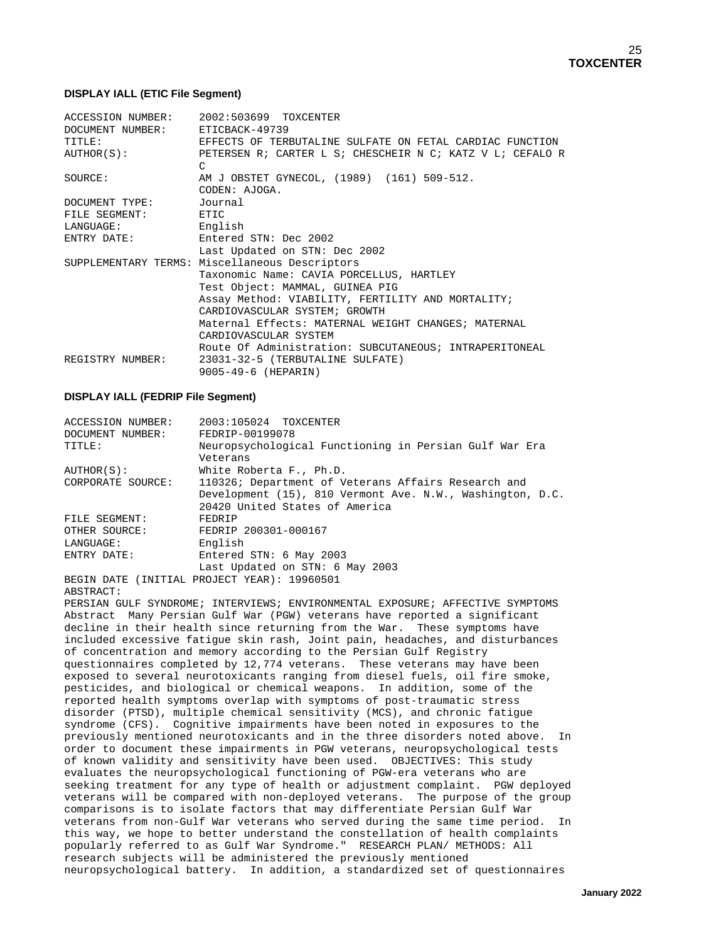#### **DISPLAY IALL (ETIC File Segment)**

|                                 | ACCESSION NUMBER: 2002:503699 TOXCENTER                                    |  |  |
|---------------------------------|----------------------------------------------------------------------------|--|--|
| DOCUMENT NUMBER: ETICBACK-49739 |                                                                            |  |  |
| TITLE:                          | EFFECTS OF TERBUTALINE SULFATE ON FETAL CARDIAC FUNCTION                   |  |  |
| AUTHOR(S):                      | PETERSEN R; CARTER L S; CHESCHEIR N C; KATZ V L; CEFALO R<br>$\mathcal{C}$ |  |  |
| SOURCE:                         | AM J OBSTET GYNECOL, (1989) (161) 509-512.<br>CODEN: AJOGA.                |  |  |
| DOCUMENT TYPE:                  | Journal                                                                    |  |  |
| FILE SEGMENT: ETIC              |                                                                            |  |  |
| LANGUAGE:                       | English                                                                    |  |  |
| ENTRY DATE:                     | Entered STN: Dec 2002                                                      |  |  |
|                                 | Last Updated on STN: Dec 2002                                              |  |  |
|                                 | SUPPLEMENTARY TERMS: Miscellaneous Descriptors                             |  |  |
|                                 | Taxonomic Name: CAVIA PORCELLUS, HARTLEY                                   |  |  |
|                                 | Test Object: MAMMAL, GUINEA PIG                                            |  |  |
|                                 | Assay Method: VIABILITY, FERTILITY AND MORTALITY;                          |  |  |
|                                 | CARDIOVASCULAR SYSTEM; GROWTH                                              |  |  |
|                                 | Maternal Effects: MATERNAL WEIGHT CHANGES; MATERNAL                        |  |  |
|                                 | CARDIOVASCULAR SYSTEM                                                      |  |  |
|                                 | Route Of Administration: SUBCUTANEOUS; INTRAPERITONEAL                     |  |  |
| REGISTRY NUMBER:                | 23031-32-5 (TERBUTALINE SULFATE)                                           |  |  |
|                                 | 9005-49-6 (HEPARIN)                                                        |  |  |

#### **DISPLAY IALL (FEDRIP File Segment)**

| <b>ACCESSION NUMBER:</b> | 2003:105024 TOXCENTER                                     |  |  |  |
|--------------------------|-----------------------------------------------------------|--|--|--|
| DOCUMENT NUMBER:         | FEDRIP-00199078                                           |  |  |  |
| TITLE:                   | Neuropsychological Functioning in Persian Gulf War Era    |  |  |  |
|                          | Veterans                                                  |  |  |  |
| AUTHOR(S):               | White Roberta F., Ph.D.                                   |  |  |  |
| CORPORATE SOURCE:        | 110326; Department of Veterans Affairs Research and       |  |  |  |
|                          | Development (15), 810 Vermont Ave. N.W., Washington, D.C. |  |  |  |
|                          | 20420 United States of America                            |  |  |  |
| FILE SEGMENT:            | FEDRIP                                                    |  |  |  |
| OTHER SOURCE:            | FEDRIP 200301-000167                                      |  |  |  |
| LANGUAGE:                | English                                                   |  |  |  |
| ENTRY DATE:              | Entered STN: 6 May 2003                                   |  |  |  |
|                          | Last Updated on STN: 6 May 2003                           |  |  |  |
|                          | BEGIN DATE (INITIAL PROJECT YEAR): 19960501               |  |  |  |

ABSTRACT:

PERSIAN GULF SYNDROME; INTERVIEWS; ENVIRONMENTAL EXPOSURE; AFFECTIVE SYMPTOMS Abstract Many Persian Gulf War (PGW) veterans have reported a significant decline in their health since returning from the War. These symptoms have included excessive fatigue skin rash, Joint pain, headaches, and disturbances of concentration and memory according to the Persian Gulf Registry questionnaires completed by 12,774 veterans. These veterans may have been exposed to several neurotoxicants ranging from diesel fuels, oil fire smoke, pesticides, and biological or chemical weapons. In addition, some of the reported health symptoms overlap with symptoms of post-traumatic stress disorder (PTSD), multiple chemical sensitivity (MCS), and chronic fatigue syndrome (CFS). Cognitive impairments have been noted in exposures to the previously mentioned neurotoxicants and in the three disorders noted above. In order to document these impairments in PGW veterans, neuropsychological tests of known validity and sensitivity have been used. OBJECTIVES: This study evaluates the neuropsychological functioning of PGW-era veterans who are seeking treatment for any type of health or adjustment complaint. PGW deployed veterans will be compared with non-deployed veterans. The purpose of the group comparisons is to isolate factors that may differentiate Persian Gulf War veterans from non-Gulf War veterans who served during the same time period. In this way, we hope to better understand the constellation of health complaints popularly referred to as Gulf War Syndrome." RESEARCH PLAN/ METHODS: All research subjects will be administered the previously mentioned neuropsychological battery. In addition, a standardized set of questionnaires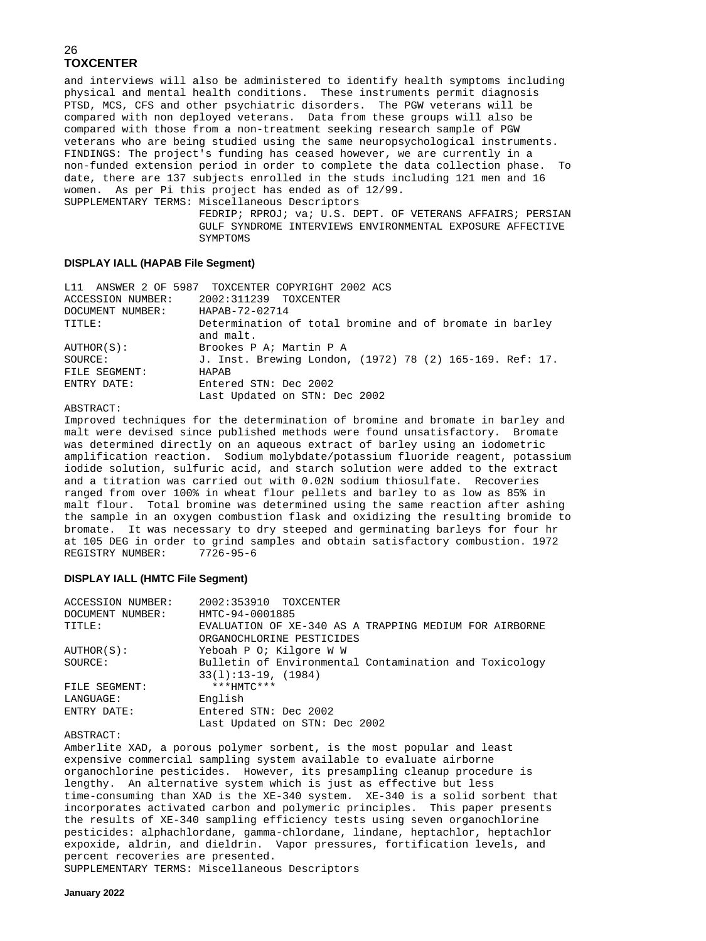and interviews will also be administered to identify health symptoms including physical and mental health conditions. These instruments permit diagnosis PTSD, MCS, CFS and other psychiatric disorders. The PGW veterans will be compared with non deployed veterans. Data from these groups will also be compared with those from a non-treatment seeking research sample of PGW veterans who are being studied using the same neuropsychological instruments. FINDINGS: The project's funding has ceased however, we are currently in a non-funded extension period in order to complete the data collection phase. To date, there are 137 subjects enrolled in the studs including 121 men and 16 women. As per Pi this project has ended as of 12/99. SUPPLEMENTARY TERMS: Miscellaneous Descriptors

 FEDRIP; RPROJ; va; U.S. DEPT. OF VETERANS AFFAIRS; PERSIAN GULF SYNDROME INTERVIEWS ENVIRONMENTAL EXPOSURE AFFECTIVE SYMPTOMS

#### **DISPLAY IALL (HAPAB File Segment)**

|                   | L11 ANSWER 2 OF 5987 TOXCENTER COPYRIGHT 2002 ACS                    |
|-------------------|----------------------------------------------------------------------|
| ACCESSION NUMBER: | 2002:311239 TOXCENTER                                                |
| DOCUMENT NUMBER:  | HAPAB-72-02714                                                       |
| TITLE:            | Determination of total bromine and of bromate in barley<br>and malt. |
| AUTHOR(S):        | Brookes P A; Martin P A                                              |
| SOURCE:           | J. Inst. Brewing London, (1972) 78 (2) 165-169. Ref: 17.             |
| FILE SEGMENT:     | HAPAR                                                                |
| ENTRY DATE:       | Entered STN: Dec 2002                                                |
|                   | Last Updated on STN: Dec 2002                                        |
|                   |                                                                      |

#### ABSTRACT:

Improved techniques for the determination of bromine and bromate in barley and malt were devised since published methods were found unsatisfactory. Bromate was determined directly on an aqueous extract of barley using an iodometric amplification reaction. Sodium molybdate/potassium fluoride reagent, potassium iodide solution, sulfuric acid, and starch solution were added to the extract and a titration was carried out with 0.02N sodium thiosulfate. Recoveries ranged from over 100% in wheat flour pellets and barley to as low as 85% in malt flour. Total bromine was determined using the same reaction after ashing the sample in an oxygen combustion flask and oxidizing the resulting bromide to bromate. It was necessary to dry steeped and germinating barleys for four hr at 105 DEG in order to grind samples and obtain satisfactory combustion. 1972 REGISTRY NUMBER:

#### **DISPLAY IALL (HMTC File Segment)**

| ACCESSION NUMBER: | 2002:353910 TOXCENTER                                  |  |  |
|-------------------|--------------------------------------------------------|--|--|
| DOCUMENT NUMBER:  | HMTC-94-0001885                                        |  |  |
| TITLE:            | EVALUATION OF XE-340 AS A TRAPPING MEDIUM FOR AIRBORNE |  |  |
|                   | ORGANOCHLORINE PESTICIDES                              |  |  |
| AUTHOR(S):        | Yeboah P O; Kilgore W W                                |  |  |
| SOURCE:           | Bulletin of Environmental Contamination and Toxicology |  |  |
|                   | $33(1):13-19, (1984)$                                  |  |  |
| FILE SEGMENT:     | $***$ HMTC***                                          |  |  |
| LANGUAGE:         | English                                                |  |  |
| ENTRY DATE:       | Entered STN: Dec 2002                                  |  |  |
|                   | Last Updated on STN: Dec 2002                          |  |  |
|                   |                                                        |  |  |

ABSTRACT:

Amberlite XAD, a porous polymer sorbent, is the most popular and least expensive commercial sampling system available to evaluate airborne organochlorine pesticides. However, its presampling cleanup procedure is lengthy. An alternative system which is just as effective but less time-consuming than XAD is the XE-340 system. XE-340 is a solid sorbent that incorporates activated carbon and polymeric principles. This paper presents the results of XE-340 sampling efficiency tests using seven organochlorine pesticides: alphachlordane, gamma-chlordane, lindane, heptachlor, heptachlor expoxide, aldrin, and dieldrin. Vapor pressures, fortification levels, and percent recoveries are presented.

SUPPLEMENTARY TERMS: Miscellaneous Descriptors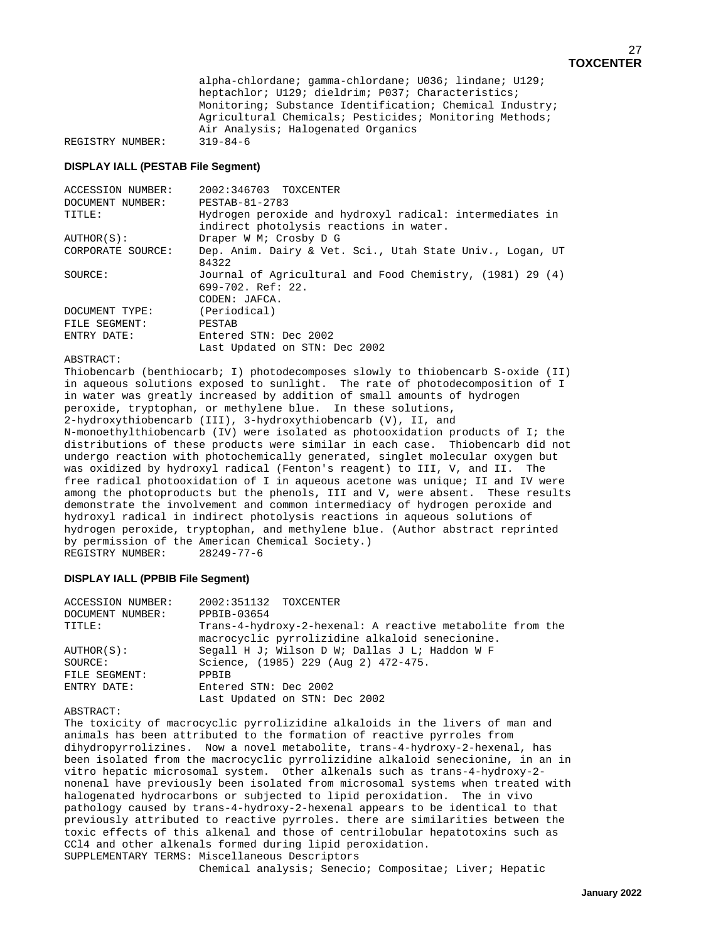alpha-chlordane; gamma-chlordane; U036; lindane; U129; heptachlor; U129; dieldrim; P037; Characteristics; Monitoring; Substance Identification; Chemical Industry; Agricultural Chemicals; Pesticides; Monitoring Methods; Air Analysis; Halogenated Organics REGISTRY NUMBER:

#### **DISPLAY IALL (PESTAB File Segment)**

| <b>ACCESSION NUMBER:</b> | 2002:346703 TOXCENTER                                                                                |  |  |
|--------------------------|------------------------------------------------------------------------------------------------------|--|--|
| DOCUMENT NUMBER:         | PESTAB-81-2783                                                                                       |  |  |
| TITLE:                   | Hydrogen peroxide and hydroxyl radical: intermediates in<br>indirect photolysis reactions in water.  |  |  |
| AUTHOR(S):               | Draper W M; Crosby D G                                                                               |  |  |
| CORPORATE SOURCE:        | Dep. Anim. Dairy & Vet. Sci., Utah State Univ., Logan, UT<br>84322                                   |  |  |
| SOURCE:                  | Journal of Agricultural and Food Chemistry, (1981) 29 (4)<br>$699 - 702$ . Ref: 22.<br>CODEN: JAFCA. |  |  |
| DOCUMENT TYPE:           | (Periodical)                                                                                         |  |  |
| FILE SEGMENT:            | PESTAB                                                                                               |  |  |
| ENTRY DATE:              | Entered STN: Dec 2002                                                                                |  |  |
|                          | Last Updated on STN: Dec 2002                                                                        |  |  |

ABSTRACT:

Thiobencarb (benthiocarb; I) photodecomposes slowly to thiobencarb S-oxide (II) in aqueous solutions exposed to sunlight. The rate of photodecomposition of I in water was greatly increased by addition of small amounts of hydrogen peroxide, tryptophan, or methylene blue. In these solutions, 2-hydroxythiobencarb (III), 3-hydroxythiobencarb (V), II, and N-monoethylthiobencarb (IV) were isolated as photooxidation products of I; the distributions of these products were similar in each case. Thiobencarb did not undergo reaction with photochemically generated, singlet molecular oxygen but was oxidized by hydroxyl radical (Fenton's reagent) to III, V, and II. The free radical photooxidation of I in aqueous acetone was unique; II and IV were among the photoproducts but the phenols, III and V, were absent. These results demonstrate the involvement and common intermediacy of hydrogen peroxide and hydroxyl radical in indirect photolysis reactions in aqueous solutions of hydrogen peroxide, tryptophan, and methylene blue. (Author abstract reprinted by permission of the American Chemical Society.)<br>REGISTRY NUMBER: 28249-77-6 REGISTRY NUMBER:

#### **DISPLAY IALL (PPBIB File Segment)**

| <b>ACCESSION NUMBER:</b> | 2002:351132 TOXCENTER                                     |
|--------------------------|-----------------------------------------------------------|
| DOCUMENT NUMBER:         | PPBIB-03654                                               |
| TITLE:                   | Trans-4-hydroxy-2-hexenal: A reactive metabolite from the |
|                          | macrocyclic pyrrolizidine alkaloid senecionine.           |
| AUTHOR(S):               | Segall H J; Wilson D W; Dallas J L; Haddon W F            |
| SOURCE:                  | Science, (1985) 229 (Aug 2) 472-475.                      |
| FILE SEGMENT:            | PPBIB                                                     |
| ENTRY DATE:              | Entered STN: Dec 2002                                     |
|                          | Last Updated on STN: Dec 2002                             |

ABSTRACT:

The toxicity of macrocyclic pyrrolizidine alkaloids in the livers of man and animals has been attributed to the formation of reactive pyrroles from dihydropyrrolizines. Now a novel metabolite, trans-4-hydroxy-2-hexenal, has been isolated from the macrocyclic pyrrolizidine alkaloid senecionine, in an in vitro hepatic microsomal system. Other alkenals such as trans-4-hydroxy-2 nonenal have previously been isolated from microsomal systems when treated with halogenated hydrocarbons or subjected to lipid peroxidation. The in vivo pathology caused by trans-4-hydroxy-2-hexenal appears to be identical to that previously attributed to reactive pyrroles. there are similarities between the toxic effects of this alkenal and those of centrilobular hepatotoxins such as CCl4 and other alkenals formed during lipid peroxidation. SUPPLEMENTARY TERMS: Miscellaneous Descriptors

Chemical analysis; Senecio; Compositae; Liver; Hepatic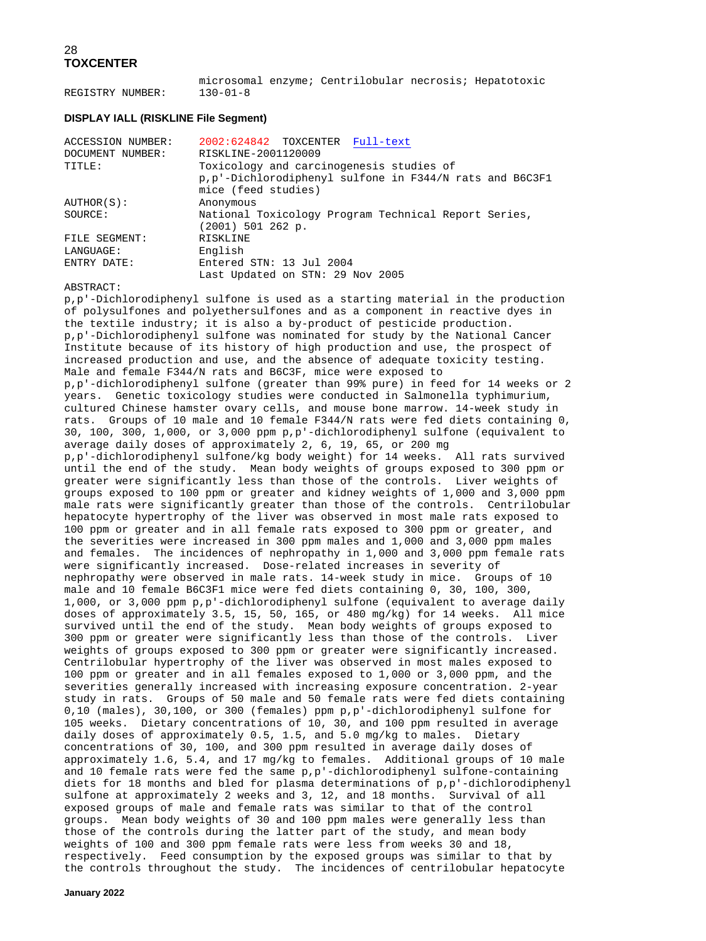microsomal enzyme; Centrilobular necrosis; Hepatotoxic REGISTRY NUMBER:

#### **DISPLAY IALL (RISKLINE File Segment)**

| <b>ACCESSION NUMBER:</b> | 2002:624842 TOXCENTER Full-text                                           |
|--------------------------|---------------------------------------------------------------------------|
| DOCUMENT NUMBER:         | RISKLINE-2001120009                                                       |
| TITLE:                   | Toxicology and carcinogenesis studies of                                  |
|                          | p, p'-Dichlorodiphenyl sulfone in F344/N rats and B6C3F1                  |
|                          | mice (feed studies)                                                       |
| AUTHOR(S):               | Anonymous                                                                 |
| SOURCE:                  | National Toxicology Program Technical Report Series,<br>(2001) 501 262 p. |
| FILE SEGMENT:            | RISKLINE                                                                  |
| LANGUAGE:                | English                                                                   |
| ENTRY DATE:              | Entered STN: 13 Jul 2004                                                  |
|                          | Last Updated on STN: 29 Nov 2005                                          |

#### ABSTRACT:

p,p'-Dichlorodiphenyl sulfone is used as a starting material in the production of polysulfones and polyethersulfones and as a component in reactive dyes in the textile industry; it is also a by-product of pesticide production. p,p'-Dichlorodiphenyl sulfone was nominated for study by the National Cancer Institute because of its history of high production and use, the prospect of increased production and use, and the absence of adequate toxicity testing. Male and female F344/N rats and B6C3F, mice were exposed to p,p'-dichlorodiphenyl sulfone (greater than 99% pure) in feed for 14 weeks or 2 years. Genetic toxicology studies were conducted in Salmonella typhimurium, cultured Chinese hamster ovary cells, and mouse bone marrow. 14-week study in rats. Groups of 10 male and 10 female F344/N rats were fed diets containing 0, 30, 100, 300, 1,000, or 3,000 ppm p,p'-dichlorodiphenyl sulfone (equivalent to average daily doses of approximately 2, 6, 19, 65, or 200 mg p,p'-dichlorodiphenyl sulfone/kg body weight) for 14 weeks. All rats survived until the end of the study. Mean body weights of groups exposed to 300 ppm or greater were significantly less than those of the controls. Liver weights of groups exposed to 100 ppm or greater and kidney weights of 1,000 and 3,000 ppm male rats were significantly greater than those of the controls. Centrilobular hepatocyte hypertrophy of the liver was observed in most male rats exposed to 100 ppm or greater and in all female rats exposed to 300 ppm or greater, and the severities were increased in 300 ppm males and 1,000 and 3,000 ppm males and females. The incidences of nephropathy in 1,000 and 3,000 ppm female rats were significantly increased. Dose-related increases in severity of nephropathy were observed in male rats. 14-week study in mice. Groups of 10 male and 10 female B6C3F1 mice were fed diets containing 0, 30, 100, 300, 1,000, or 3,000 ppm p,p'-dichlorodiphenyl sulfone (equivalent to average daily doses of approximately 3.5, 15, 50, 165, or 480 mg/kg) for 14 weeks. All mice survived until the end of the study. Mean body weights of groups exposed to 300 ppm or greater were significantly less than those of the controls. Liver weights of groups exposed to 300 ppm or greater were significantly increased. Centrilobular hypertrophy of the liver was observed in most males exposed to 100 ppm or greater and in all females exposed to 1,000 or 3,000 ppm, and the severities generally increased with increasing exposure concentration. 2-year study in rats. Groups of 50 male and 50 female rats were fed diets containing 0,10 (males), 30,100, or 300 (females) ppm p,p'-dichlorodiphenyl sulfone for 105 weeks. Dietary concentrations of 10, 30, and 100 ppm resulted in average daily doses of approximately 0.5, 1.5, and 5.0 mg/kg to males. Dietary concentrations of 30, 100, and 300 ppm resulted in average daily doses of approximately 1.6, 5.4, and 17 mg/kg to females. Additional groups of 10 male and 10 female rats were fed the same  $p, p'$ -dichlorodiphenyl sulfone-containing diets for 18 months and bled for plasma determinations of p,p'-dichlorodiphenyl sulfone at approximately 2 weeks and 3, 12, and 18 months. Survival of all exposed groups of male and female rats was similar to that of the control groups. Mean body weights of 30 and 100 ppm males were generally less than those of the controls during the latter part of the study, and mean body weights of 100 and 300 ppm female rats were less from weeks 30 and 18, respectively. Feed consumption by the exposed groups was similar to that by the controls throughout the study. The incidences of centrilobular hepatocyte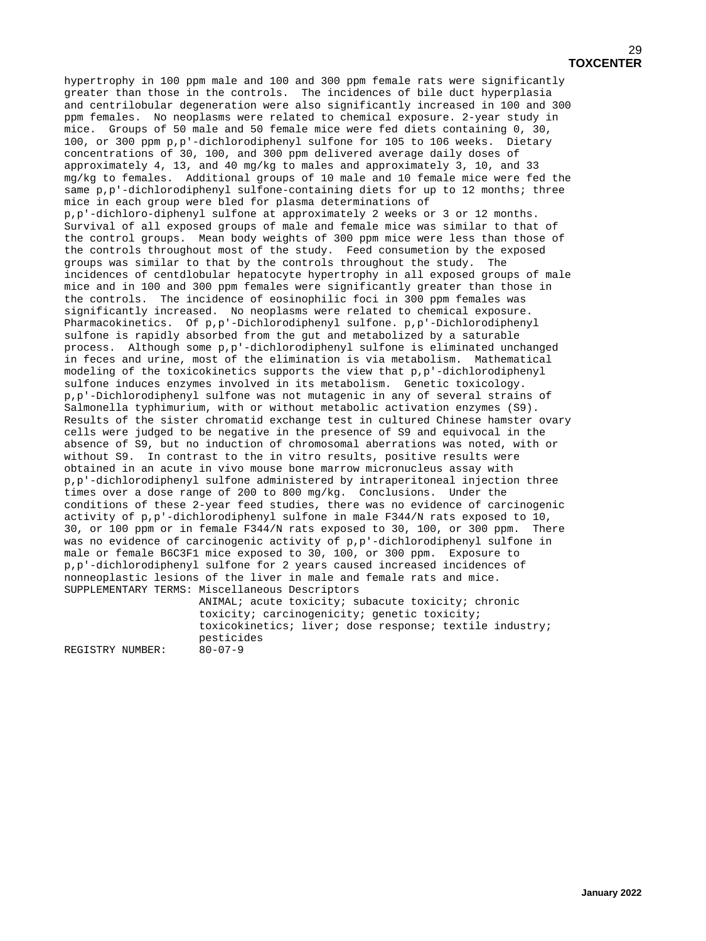hypertrophy in 100 ppm male and 100 and 300 ppm female rats were significantly greater than those in the controls. The incidences of bile duct hyperplasia and centrilobular degeneration were also significantly increased in 100 and 300 ppm females. No neoplasms were related to chemical exposure. 2-year study in mice. Groups of 50 male and 50 female mice were fed diets containing 0, 30, 100, or 300 ppm p,p'-dichlorodiphenyl sulfone for 105 to 106 weeks. Dietary concentrations of 30, 100, and 300 ppm delivered average daily doses of approximately 4, 13, and 40 mg/kg to males and approximately 3, 10, and 33 mg/kg to females. Additional groups of 10 male and 10 female mice were fed the same p,p'-dichlorodiphenyl sulfone-containing diets for up to 12 months; three mice in each group were bled for plasma determinations of p,p'-dichloro-diphenyl sulfone at approximately 2 weeks or 3 or 12 months. Survival of all exposed groups of male and female mice was similar to that of the control groups. Mean body weights of 300 ppm mice were less than those of the controls throughout most of the study. Feed consumetion by the exposed groups was similar to that by the controls throughout the study. The incidences of centdlobular hepatocyte hypertrophy in all exposed groups of male mice and in 100 and 300 ppm females were significantly greater than those in the controls. The incidence of eosinophilic foci in 300 ppm females was significantly increased. No neoplasms were related to chemical exposure. Pharmacokinetics. Of p,p'-Dichlorodiphenyl sulfone. p,p'-Dichlorodiphenyl sulfone is rapidly absorbed from the gut and metabolized by a saturable process. Although some p,p'-dichlorodiphenyl sulfone is eliminated unchanged in feces and urine, most of the elimination is via metabolism. Mathematical modeling of the toxicokinetics supports the view that p,p'-dichlorodiphenyl sulfone induces enzymes involved in its metabolism. Genetic toxicology. p,p'-Dichlorodiphenyl sulfone was not mutagenic in any of several strains of Salmonella typhimurium, with or without metabolic activation enzymes (S9). Results of the sister chromatid exchange test in cultured Chinese hamster ovary cells were judged to be negative in the presence of S9 and equivocal in the absence of S9, but no induction of chromosomal aberrations was noted, with or without S9. In contrast to the in vitro results, positive results were obtained in an acute in vivo mouse bone marrow micronucleus assay with p,p'-dichlorodiphenyl sulfone administered by intraperitoneal injection three times over a dose range of 200 to 800 mg/kg. Conclusions. Under the conditions of these 2-year feed studies, there was no evidence of carcinogenic activity of p,p'-dichlorodiphenyl sulfone in male F344/N rats exposed to 10, 30, or 100 ppm or in female F344/N rats exposed to 30, 100, or 300 ppm. There was no evidence of carcinogenic activity of p,p'-dichlorodiphenyl sulfone in male or female B6C3F1 mice exposed to 30, 100, or 300 ppm. Exposure to p,p'-dichlorodiphenyl sulfone for 2 years caused increased incidences of nonneoplastic lesions of the liver in male and female rats and mice. SUPPLEMENTARY TERMS: Miscellaneous Descriptors

> ANIMAL; acute toxicity; subacute toxicity; chronic toxicity; carcinogenicity; genetic toxicity; toxicokinetics; liver; dose response; textile industry; pesticides

REGISTRY NUMBER: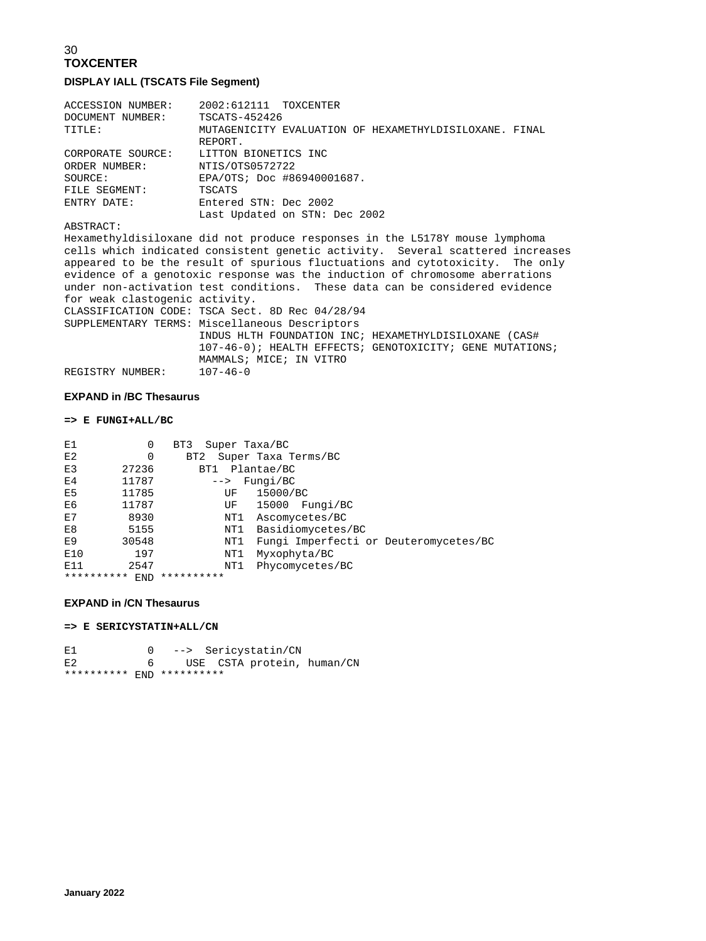### 30 **TOXCENTER DISPLAY IALL (TSCATS File Segment)**

| ACCESSION NUMBER: | 2002:612111 TOXCENTER                                  |
|-------------------|--------------------------------------------------------|
| DOCUMENT NUMBER:  | TSCATS-452426                                          |
| TITLE:            | MUTAGENICITY EVALUATION OF HEXAMETHYLDISILOXANE. FINAL |
|                   | REPORT.                                                |
| CORPORATE SOURCE: | LITTON BIONETICS INC                                   |
| ORDER NUMBER:     | NTIS/0TS0572722                                        |
| SOURCE:           | EPA/OTS; Doc #86940001687.                             |
| FILE SEGMENT:     | TSCATS                                                 |
| ENTRY DATE:       | Entered STN: Dec 2002                                  |
|                   | Last Updated on STN: Dec 2002                          |

#### ABSTRACT:

Hexamethyldisiloxane did not produce responses in the L5178Y mouse lymphoma cells which indicated consistent genetic activity. Several scattered increases appeared to be the result of spurious fluctuations and cytotoxicity. The only evidence of a genotoxic response was the induction of chromosome aberrations under non-activation test conditions. These data can be considered evidence for weak clastogenic activity. CLASSIFICATION CODE: TSCA Sect. 8D Rec 04/28/94 SUPPLEMENTARY TERMS: Miscellaneous Descriptors INDUS HLTH FOUNDATION INC; HEXAMETHYLDISILOXANE (CAS# 107-46-0); HEALTH EFFECTS; GENOTOXICITY; GENE MUTATIONS; MAMMALS; MICE; IN VITRO<br>107-46-0 REGISTRY NUMBER:

#### **EXPAND in /BC Thesaurus**

#### **=> E FUNGI+ALL/BC**

| E1             | 0     | Super Taxa/BC<br>BT3 |                                       |
|----------------|-------|----------------------|---------------------------------------|
| E2             | 0     | BT2                  | Super Taxa Terms/BC                   |
| E3             | 27236 | BT1                  | Plantae/BC                            |
| E4             | 11787 | $--&>$               | Fungi/BC                              |
| E <sub>5</sub> | 11785 | UF                   | 15000/BC                              |
| E6             | 11787 | UF                   | 15000 Fungi/BC                        |
| E7             | 8930  | NT1                  | Ascomycetes/BC                        |
| E8             | 5155  | NT1                  | Basidiomycetes/BC                     |
| E <sub>9</sub> | 30548 | NT1                  | Fungi Imperfecti or Deuteromycetes/BC |
| E10            | 197   | NT1                  | Myxophyta/BC                          |
| E11            | 2547  | NT1                  | Phycomycetes/BC                       |
| **********     | END   | **********           |                                       |

#### **EXPAND in /CN Thesaurus**

**=> E SERICYSTATIN+ALL/CN** 

E1 0 --> Sericystatin/CN<br>E2 6 USE CSTA protein. USE CSTA protein, human/CN \*\*\*\*\*\*\*\*\*\* END \*\*\*\*\*\*\*\*\*\*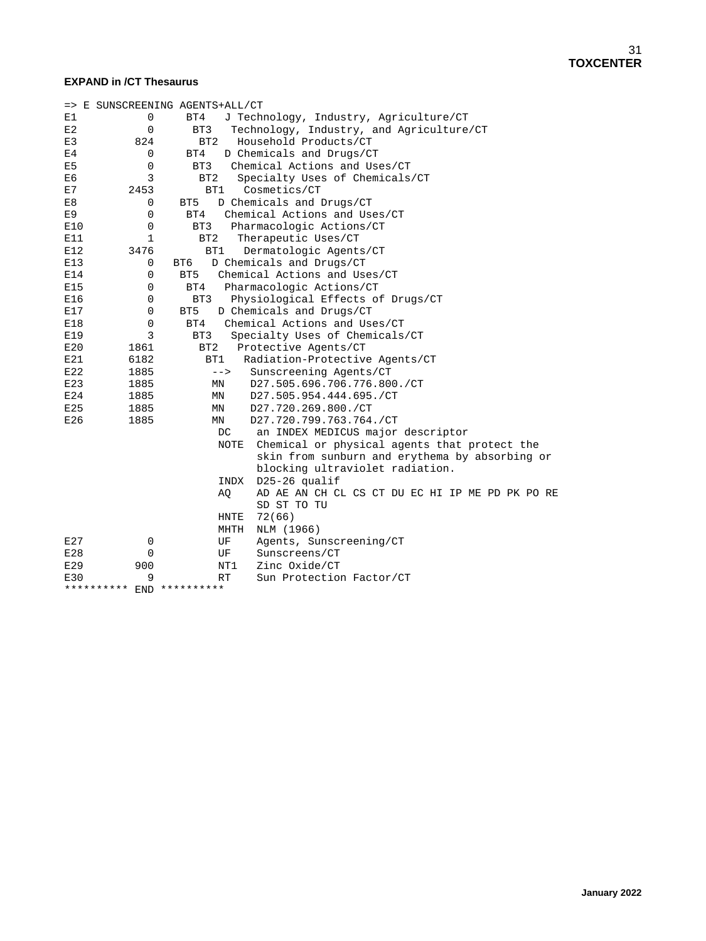### **EXPAND in /CT Thesaurus**

|                | => E SUNSCREENING AGENTS+ALL/CT |                                                       |  |  |
|----------------|---------------------------------|-------------------------------------------------------|--|--|
| E1             | 0                               | BT4<br>J Technology, Industry, Agriculture/CT         |  |  |
| E2             | 0                               | Technology, Industry, and Agriculture/CT<br>BT3       |  |  |
| E3             | 824                             | BT <sub>2</sub><br>Household Products/CT              |  |  |
| E4             |                                 | D Chemicals and Drugs/CT<br>0<br>BT4                  |  |  |
| E <sub>5</sub> | $\mathbf 0$                     | Chemical Actions and Uses/CT<br>BT3                   |  |  |
| E6             | 3                               | BT <sub>2</sub><br>Specialty Uses of Chemicals/CT     |  |  |
| E7             | 2453                            | BT1<br>Cosmetics/CT                                   |  |  |
| E8             |                                 | D Chemicals and Drugs/CT<br>0<br>BT5                  |  |  |
| E9             | $\mathbf 0$                     | Chemical Actions and Uses/CT<br>BT4                   |  |  |
| E10            | $\mathbf 0$                     | BT3<br>Pharmacologic Actions/CT                       |  |  |
| E11            | $\mathbf{1}$                    | BT <sub>2</sub><br>Therapeutic Uses/CT                |  |  |
| E12            | 3476                            | BT1<br>Dermatologic Agents/CT                         |  |  |
| E13            |                                 | D Chemicals and Drugs/CT<br>0<br>BT6                  |  |  |
| E14            | 0                               | Chemical Actions and Uses/CT<br>BT <sub>5</sub>       |  |  |
| E15            | $\mathbf 0$                     | BT4<br>Pharmacologic Actions/CT                       |  |  |
| E16            |                                 | 0<br>Physiological Effects of Drugs/CT<br>BT3         |  |  |
| E17            | 0                               | BT <sub>5</sub><br>D Chemicals and Drugs/CT           |  |  |
| E18            | 0                               | Chemical Actions and Uses/CT<br>BT4                   |  |  |
| E19            | 3                               | Specialty Uses of Chemicals/CT<br>BT3                 |  |  |
| E20            | 1861                            | BT <sub>2</sub><br>Protective Agents/CT               |  |  |
| E21            | 6182                            | BT1<br>Radiation-Protective Agents/CT                 |  |  |
| E22            | 1885                            | $--&>$<br>Sunscreening Agents/CT                      |  |  |
| E23            | 1885                            | MN<br>D27.505.696.706.776.800./CT                     |  |  |
| E24            | 1885                            | D27.505.954.444.695./CT<br>MN                         |  |  |
| E25            | 1885                            | D27.720.269.800./CT<br>MN                             |  |  |
| E26            | 1885                            | D27.720.799.763.764./CT<br>MN                         |  |  |
|                |                                 | an INDEX MEDICUS major descriptor<br>DC.              |  |  |
|                |                                 | NOTE Chemical or physical agents that protect the     |  |  |
|                |                                 | skin from sunburn and erythema by absorbing or        |  |  |
|                |                                 | blocking ultraviolet radiation.                       |  |  |
|                |                                 | $D25-26$ qualif<br>INDX                               |  |  |
|                |                                 | AQ<br>AD AE AN CH CL CS CT DU EC HI IP ME PD PK PO RE |  |  |
|                |                                 | SD ST TO TU                                           |  |  |
|                |                                 | 72(66)<br><b>HNTE</b>                                 |  |  |
|                |                                 | NLM (1966)<br>MHTH                                    |  |  |
| E27            | 0                               | Agents, Sunscreening/CT<br>UF                         |  |  |
| E28            | 0                               | Sunscreens/CT<br>UF                                   |  |  |
| E29            | 900                             | NT1<br>Zinc Oxide/CT                                  |  |  |
| E30            | 9                               | RT<br>Sun Protection Factor/CT                        |  |  |
|                | **********                      | END **********                                        |  |  |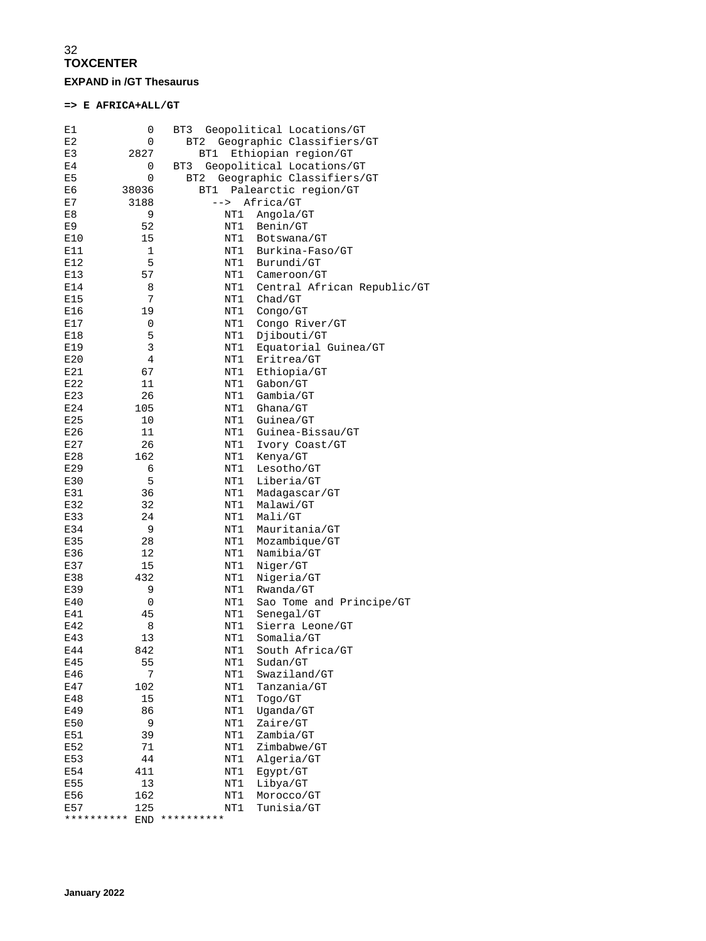### 32 **TOXCENTER EXPAND in /GT Thesaurus**

### **=> E AFRICA+ALL/GT**

| E1         | 0          | BT3                 | Geopolitical Locations/GT   |
|------------|------------|---------------------|-----------------------------|
| E2         | 0          | BT2                 | Geographic Classifiers/GT   |
| E3         | 2827       | BT1                 | Ethiopian region/GT         |
| E4         | 0          | BT3                 | Geopolitical Locations/GT   |
| E5         | 0          | BT <sub>2</sub>     | Geographic Classifiers/GT   |
| E6         | 38036      | BT1                 | Palearctic region/GT        |
| E7         | 3188       | $--&$               | Africa/GT                   |
| E8         | 9          | NT1                 | Angola/GT                   |
| E9         | 52         | NT1                 | Benin/GT                    |
| E10        | 15         | NT1                 | Botswana/GT                 |
| E11        | 1          | NT1                 | Burkina-Faso/GT             |
| E12        | 5          | NT1                 | Burundi/GT                  |
| E13        | 57         | NT1                 | Cameroon/GT                 |
| E14        | 8          | NT1                 | Central African Republic/GT |
| E15        | 7          | NT1                 | Chad/GT                     |
| E16        | 19         | NT1                 | Conqo/GT                    |
| E17        | 0          | NT1                 | Congo River/GT              |
| E18        | 5          | NT1                 | Djibouti/GT                 |
| E19        | 3          | NT1                 | Equatorial Guinea/GT        |
| E20        | 4          | NT1                 | Eritrea/GT                  |
| E21        | 67         | NT1                 | Ethiopia/GT                 |
| E22        | 11         | NT1                 | Gabon/GT                    |
| E23        | 26         | NT1                 | Gambia/GT                   |
| E24        | 105        | NT1                 | Ghana/GT                    |
| E25        | 10         | NT1                 | Guinea/GT                   |
| E26        | 11         | NT1                 | Guinea-Bissau/GT            |
| E27        | 26         | NT1                 | Ivory Coast/GT              |
| E28        | 162        | NT1                 | Kenya/GT                    |
| E29        | 6          | NT1                 | Lesotho/GT                  |
| E30        | 5          | NT1                 | Liberia/GT                  |
| E31        | 36         | NT1                 | Madagascar/GT               |
| E32        | 32         | NT1                 | Malawi/GT                   |
| E33        | 24         | NT1                 | Mali/GT                     |
| E34        | 9          | NT1                 | Mauritania/GT               |
| E35        | 28         | NT1                 | Mozambique/GT               |
| E36        | 12         | NT1                 | Namibia/GT                  |
| E37        | 15         | NT1                 | Niger/GT                    |
| E38        | 432        | NT1                 | Nigeria/GT                  |
| E39        | 9          | NT1                 | Rwanda/GT                   |
| E40        | 0          | NT1                 | Sao Tome and Principe/GT    |
| E41        | 45         | NT1                 | Senegal/GT                  |
| E42        | 8          | NT1                 | Sierra Leone/GT             |
| E43        | 13         | NT1                 | Somalia/GT                  |
| E44        | 842        | NT1                 | South Africa/GT             |
| E45        | 55         | NT1                 | Sudan/GT                    |
| E46        | 7          | NT1                 | Swaziland/GT                |
| E47        | 102        | NT1                 | Tanzania/GT                 |
| E48        | 15         | NT1                 | Togo/GT                     |
| E49        | 86         | NT1                 | Uganda/GT                   |
| E50        | 9          | NT1                 | Zaire/GT                    |
| E51        | 39         | NT1                 | Zambia/GT                   |
| E52        | 71         | NT1                 | Zimbabwe/GT                 |
| E53        | 44         | NT1                 | Algeria/GT                  |
| E54        | 411        | NT1                 | Eqypt/GT                    |
| E55        | 13         | NT1                 | Libya/GT                    |
| E56        | 162        | NT1                 | Morocco/GT                  |
| E57        | 125        | NT1                 | Tunisia/GT                  |
| ********** | <b>END</b> | * * * * * * * * * * |                             |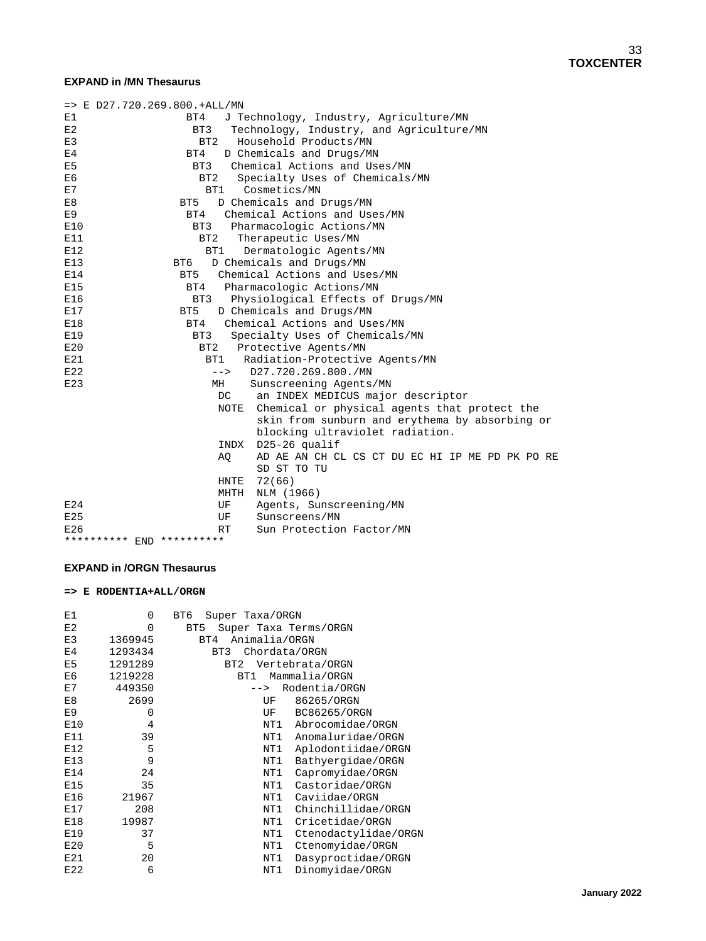#### **EXPAND in /MN Thesaurus**

| $=$ > E D27.720.269.800.+ALL/MN |                 |                                                   |
|---------------------------------|-----------------|---------------------------------------------------|
| E1                              | BT4             | J Technology, Industry, Agriculture/MN            |
| E2                              | BT3             | Technology, Industry, and Agriculture/MN          |
| E3                              | BT <sub>2</sub> | Household Products/MN                             |
| E <sub>4</sub>                  | BT4             | D Chemicals and Drugs/MN                          |
| E <sub>5</sub>                  | BT3             | Chemical Actions and Uses/MN                      |
| E6                              | BT <sub>2</sub> | Specialty Uses of Chemicals/MN                    |
| E7                              |                 | BT1 Cosmetics/MN                                  |
| E8                              | BT5             | D Chemicals and Drugs/MN                          |
| E <sub>9</sub>                  | BT4             | Chemical Actions and Uses/MN                      |
| E10                             | BT3             | Pharmacologic Actions/MN                          |
| E11                             | BT2             | Therapeutic Uses/MN                               |
| E12                             | BT1             | Dermatologic Agents/MN                            |
| E13                             | BT6             | D Chemicals and Drugs/MN                          |
| E14                             | BT5             | Chemical Actions and Uses/MN                      |
| E15                             | BT4             | Pharmacologic Actions/MN                          |
| E16                             | BT3             | Physiological Effects of Drugs/MN                 |
| E17                             | BT <sub>5</sub> | D Chemicals and Drugs/MN                          |
| E18                             | BT4             | Chemical Actions and Uses/MN                      |
| E19                             | BT3             | Specialty Uses of Chemicals/MN                    |
| E20                             | BT <sub>2</sub> | Protective Agents/MN                              |
| E21                             | BT1             | Radiation-Protective Agents/MN                    |
| E22                             | $--\rightarrow$ | D27.720.269.800./MN                               |
| E23                             | MH              | Sunscreening Agents/MN                            |
|                                 | DC              | an INDEX MEDICUS major descriptor                 |
|                                 |                 | NOTE Chemical or physical agents that protect the |
|                                 |                 | skin from sunburn and erythema by absorbing or    |
|                                 |                 | blocking ultraviolet radiation.                   |
|                                 |                 | INDX D25-26 qualif                                |
|                                 | AO              | AD AE AN CH CL CS CT DU EC HI IP ME PD PK PO RE   |
|                                 |                 | SD ST TO TU                                       |
|                                 | HNTE            | 72(66)                                            |
|                                 | MHTH            | NLM (1966)                                        |
| E24                             | UF              | Agents, Sunscreening/MN                           |
| E25                             | UF              | Sunscreens/MN                                     |
| E26                             | RT              | Sun Protection Factor/MN                          |
| ********** END **********       |                 |                                                   |

#### **EXPAND in /ORGN Thesaurus**

#### **=> E RODENTIA+ALL/ORGN**

| E1             | 0       | BT6<br>Super Taxa/ORGN                   |
|----------------|---------|------------------------------------------|
| E2             | 0       | BT <sub>5</sub><br>Super Taxa Terms/ORGN |
| E3             | 1369945 | Animalia/ORGN<br>BT4                     |
| E <sub>4</sub> | 1293434 | BT3<br>Chordata/ORGN                     |
| E5             | 1291289 | Vertebrata/ORGN<br>BT <sub>2</sub>       |
| E6             | 1219228 | Mammalia/ORGN<br>BT1                     |
| E7             | 449350  | Rodentia/ORGN<br>$--&>$                  |
| E8             | 2699    | 86265/ORGN<br>UF                         |
| E9             | 0       | BC86265/ORGN<br>UF                       |
| E10            | 4       | NT1<br>Abrocomidae/ORGN                  |
| E11            | 39      | NT1<br>Anomaluridae/ORGN                 |
| E12            | 5       | Aplodontiidae/ORGN<br>NT1                |
| E13            | 9       | Bathyergidae/ORGN<br>NT1                 |
| E14            | 24      | NT1<br>Capromyidae/ORGN                  |
| E15            | 35      | Castoridae/ORGN<br>NT1                   |
| E16            | 21967   | NT1<br>Caviidae/ORGN                     |
| E17            | 208     | Chinchillidae/ORGN<br>NT1                |
| E18            | 19987   | Cricetidae/ORGN<br>NT1                   |
| E19            | 37      | NT1<br>Ctenodactylidae/ORGN              |
| E20            | 5       | NT1<br>Ctenomyidae/ORGN                  |
| E21            | 20      | Dasyproctidae/ORGN<br>NT1                |
| E22            | 6       | Dinomyidae/ORGN<br>NT1                   |
|                |         |                                          |